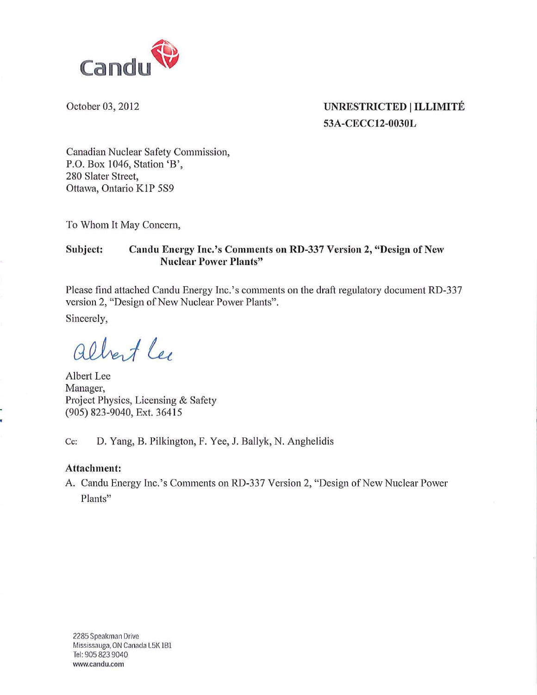

#### October 03, 2012 **UNRESTRICTED | ILLIMITÉ** 53A-CECC12-0030L

Canadian Nuclear Safety Commission, P.O. Box 1046, Station 'B', 280 Slater Street, Ottawa, Ontario K1P 5S9

To Whom It May Concern,

#### Subject: Candu Energy Inc.'s Comments on RD-337 Version 2, "Design of New Nuclear Power Plants"

Please find attached Candu Energy Inc.'s conunents on the draft regulatory document RD-337 version 2, "Design of New Nuclear Power Plants".

Sincerely,

albert Lee

Albert Lee Manager, Project Physics, Licensing & Safety (905) 823-9040, Ext. 36415

Cc: D. Yang, B. Pilkington, F. Yee, J. Ballyk, N. Anghelidis

#### Attachment:

A. Candu Energy Inc.'s Comments on RD-337 Version 2, "Design of New Nuclear Power Plants"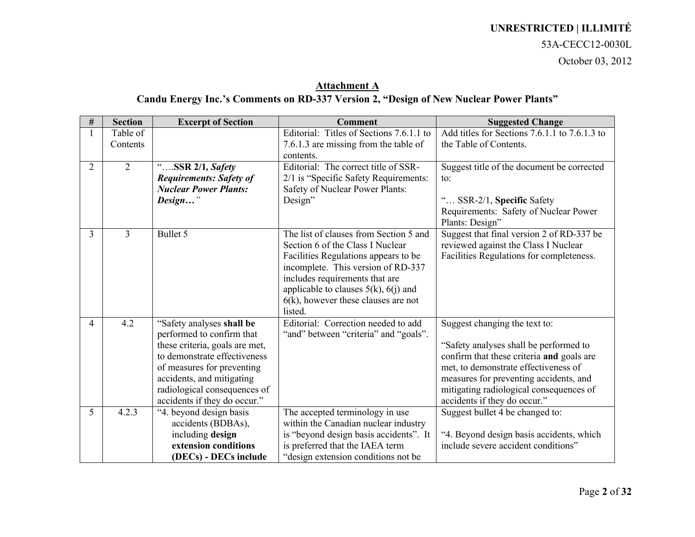#### 53A-CECC12-0030L

October 03, 2012

#### **Attachment A Candu Energy Inc.'s Comments on RD-337 Version 2, "Design of New Nuclear Power Plants"**

| $\#$           | <b>Section</b> | <b>Excerpt of Section</b>      | <b>Comment</b>                            | <b>Suggested Change</b>                                                           |
|----------------|----------------|--------------------------------|-------------------------------------------|-----------------------------------------------------------------------------------|
|                | Table of       |                                | Editorial: Titles of Sections 7.6.1.1 to  | Add titles for Sections 7.6.1.1 to 7.6.1.3 to                                     |
|                | Contents       |                                | 7.6.1.3 are missing from the table of     | the Table of Contents.                                                            |
|                |                |                                | contents.                                 |                                                                                   |
| $\overline{2}$ | $\overline{2}$ | $\ldots$ SSR 2/1, Safety       | Editorial: The correct title of SSR-      | Suggest title of the document be corrected                                        |
|                |                | <b>Requirements: Safety of</b> | 2/1 is "Specific Safety Requirements:     | to:                                                                               |
|                |                | <b>Nuclear Power Plants:</b>   | Safety of Nuclear Power Plants:           |                                                                                   |
|                |                | Design"                        | Design"                                   | SSR-2/1, Specific Safety                                                          |
|                |                |                                |                                           | Requirements: Safety of Nuclear Power                                             |
| 3              | 3              | Bullet 5                       | The list of clauses from Section 5 and    | Plants: Design"                                                                   |
|                |                |                                | Section 6 of the Class I Nuclear          | Suggest that final version 2 of RD-337 be<br>reviewed against the Class I Nuclear |
|                |                |                                | Facilities Regulations appears to be      | Facilities Regulations for completeness.                                          |
|                |                |                                | incomplete. This version of RD-337        |                                                                                   |
|                |                |                                | includes requirements that are            |                                                                                   |
|                |                |                                | applicable to clauses $5(k)$ , $6(j)$ and |                                                                                   |
|                |                |                                | $6(k)$ , however these clauses are not    |                                                                                   |
|                |                |                                | listed.                                   |                                                                                   |
| 4              | 4.2            | "Safety analyses shall be      | Editorial: Correction needed to add       | Suggest changing the text to:                                                     |
|                |                | performed to confirm that      | "and" between "criteria" and "goals".     |                                                                                   |
|                |                | these criteria, goals are met, |                                           | "Safety analyses shall be performed to                                            |
|                |                | to demonstrate effectiveness   |                                           | confirm that these criteria and goals are                                         |
|                |                | of measures for preventing     |                                           | met, to demonstrate effectiveness of                                              |
|                |                | accidents, and mitigating      |                                           | measures for preventing accidents, and                                            |
|                |                | radiological consequences of   |                                           | mitigating radiological consequences of                                           |
|                |                | accidents if they do occur."   |                                           | accidents if they do occur."                                                      |
| 5              | 4.2.3          | "4. beyond design basis        | The accepted terminology in use           | Suggest bullet 4 be changed to:                                                   |
|                |                | accidents (BDBAs),             | within the Canadian nuclear industry      |                                                                                   |
|                |                | including design               | is "beyond design basis accidents". It    | "4. Beyond design basis accidents, which                                          |
|                |                | extension conditions           | is preferred that the IAEA term           | include severe accident conditions"                                               |
|                |                | (DECs) - DECs include          | "design extension conditions not be       |                                                                                   |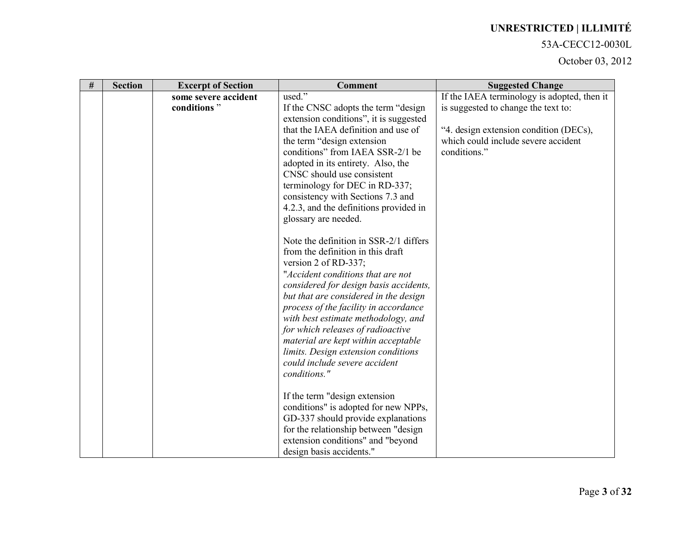#### 53A-CECC12-0030L

| $\#$ | <b>Section</b> | <b>Excerpt of Section</b> | <b>Comment</b>                         | <b>Suggested Change</b>                     |
|------|----------------|---------------------------|----------------------------------------|---------------------------------------------|
|      |                | some severe accident      | used."                                 | If the IAEA terminology is adopted, then it |
|      |                | conditions"               | If the CNSC adopts the term "design"   | is suggested to change the text to:         |
|      |                |                           | extension conditions", it is suggested |                                             |
|      |                |                           | that the IAEA definition and use of    | "4. design extension condition (DECs),      |
|      |                |                           | the term "design extension"            | which could include severe accident         |
|      |                |                           | conditions" from IAEA SSR-2/1 be       | conditions."                                |
|      |                |                           | adopted in its entirety. Also, the     |                                             |
|      |                |                           | CNSC should use consistent             |                                             |
|      |                |                           | terminology for DEC in RD-337;         |                                             |
|      |                |                           | consistency with Sections 7.3 and      |                                             |
|      |                |                           | 4.2.3, and the definitions provided in |                                             |
|      |                |                           | glossary are needed.                   |                                             |
|      |                |                           | Note the definition in SSR-2/1 differs |                                             |
|      |                |                           | from the definition in this draft      |                                             |
|      |                |                           | version 2 of RD-337;                   |                                             |
|      |                |                           | "Accident conditions that are not      |                                             |
|      |                |                           | considered for design basis accidents, |                                             |
|      |                |                           | but that are considered in the design  |                                             |
|      |                |                           | process of the facility in accordance  |                                             |
|      |                |                           | with best estimate methodology, and    |                                             |
|      |                |                           | for which releases of radioactive      |                                             |
|      |                |                           | material are kept within acceptable    |                                             |
|      |                |                           | limits. Design extension conditions    |                                             |
|      |                |                           | could include severe accident          |                                             |
|      |                |                           | conditions."                           |                                             |
|      |                |                           | If the term "design extension"         |                                             |
|      |                |                           | conditions" is adopted for new NPPs,   |                                             |
|      |                |                           | GD-337 should provide explanations     |                                             |
|      |                |                           | for the relationship between "design   |                                             |
|      |                |                           | extension conditions" and "beyond      |                                             |
|      |                |                           | design basis accidents."               |                                             |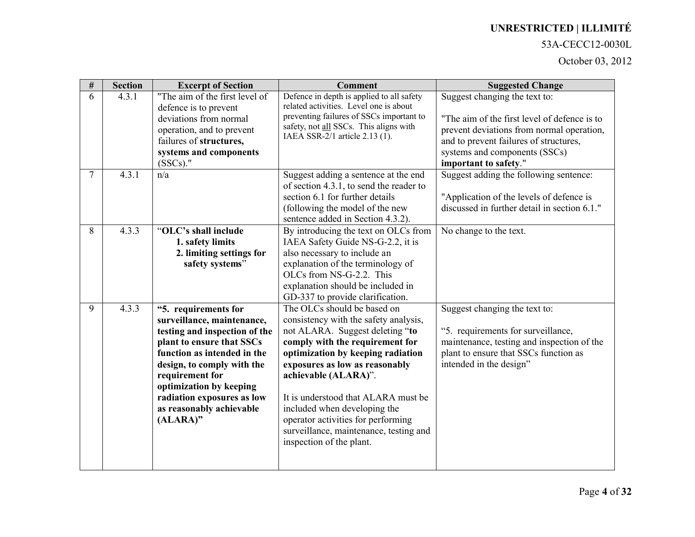#### 53A-CECC12-0030L

| $\#$ | <b>Section</b> | <b>Excerpt of Section</b>                                                                                                                                                                                                                                                                         | <b>Comment</b>                                                                                                                                                                                                                                                                                                                                                                                                               | <b>Suggested Change</b>                                                                                                                                                                                                        |
|------|----------------|---------------------------------------------------------------------------------------------------------------------------------------------------------------------------------------------------------------------------------------------------------------------------------------------------|------------------------------------------------------------------------------------------------------------------------------------------------------------------------------------------------------------------------------------------------------------------------------------------------------------------------------------------------------------------------------------------------------------------------------|--------------------------------------------------------------------------------------------------------------------------------------------------------------------------------------------------------------------------------|
| 6    | 4.3.1          | "The aim of the first level of<br>defence is to prevent<br>deviations from normal<br>operation, and to prevent<br>failures of structures,<br>systems and components<br>$(SSCs)$ ."                                                                                                                | Defence in depth is applied to all safety<br>related activities. Level one is about<br>preventing failures of SSCs important to<br>safety, not all SSCs. This aligns with<br>IAEA SSR-2/1 article 2.13 (1).                                                                                                                                                                                                                  | Suggest changing the text to:<br>"The aim of the first level of defence is to<br>prevent deviations from normal operation,<br>and to prevent failures of structures,<br>systems and components (SSCs)<br>important to safety." |
| 7    | 4.3.1          | n/a                                                                                                                                                                                                                                                                                               | Suggest adding a sentence at the end<br>of section 4.3.1, to send the reader to<br>section 6.1 for further details<br>(following the model of the new<br>sentence added in Section 4.3.2).                                                                                                                                                                                                                                   | Suggest adding the following sentence:<br>"Application of the levels of defence is<br>discussed in further detail in section 6.1."                                                                                             |
| 8    | 4.3.3          | "OLC's shall include<br>1. safety limits<br>2. limiting settings for<br>safety systems"                                                                                                                                                                                                           | By introducing the text on OLCs from<br>IAEA Safety Guide NS-G-2.2, it is<br>also necessary to include an<br>explanation of the terminology of<br>OLCs from NS-G-2.2. This<br>explanation should be included in<br>GD-337 to provide clarification.                                                                                                                                                                          | No change to the text.                                                                                                                                                                                                         |
| 9    | 4.3.3          | "5. requirements for<br>surveillance, maintenance,<br>testing and inspection of the<br>plant to ensure that SSCs<br>function as intended in the<br>design, to comply with the<br>requirement for<br>optimization by keeping<br>radiation exposures as low<br>as reasonably achievable<br>(ALARA)" | The OLCs should be based on<br>consistency with the safety analysis,<br>not ALARA. Suggest deleting "to<br>comply with the requirement for<br>optimization by keeping radiation<br>exposures as low as reasonably<br>achievable (ALARA)".<br>It is understood that ALARA must be<br>included when developing the<br>operator activities for performing<br>surveillance, maintenance, testing and<br>inspection of the plant. | Suggest changing the text to:<br>"5. requirements for surveillance,<br>maintenance, testing and inspection of the<br>plant to ensure that SSCs function as<br>intended in the design"                                          |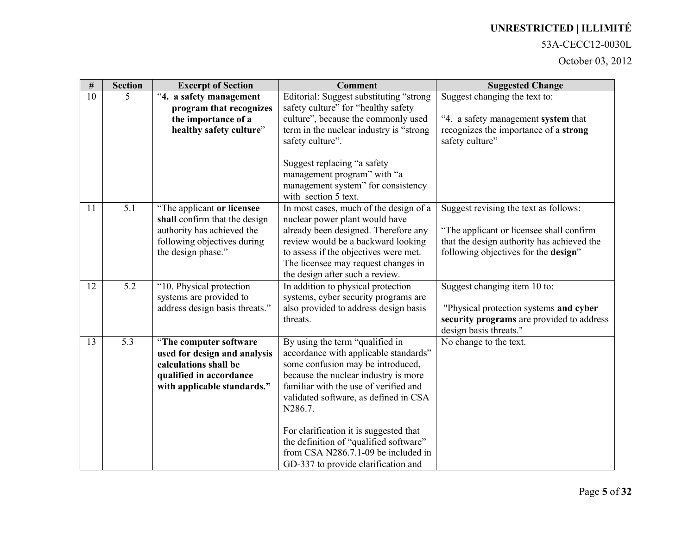#### 53A-CECC12-0030L

| $\#$ | <b>Section</b> | <b>Excerpt of Section</b>                                                                                                                      | <b>Comment</b>                                                                                                                                                                                                                                                                                                                                                                                                       | <b>Suggested Change</b>                                                                                                                                                 |
|------|----------------|------------------------------------------------------------------------------------------------------------------------------------------------|----------------------------------------------------------------------------------------------------------------------------------------------------------------------------------------------------------------------------------------------------------------------------------------------------------------------------------------------------------------------------------------------------------------------|-------------------------------------------------------------------------------------------------------------------------------------------------------------------------|
| 10   | 5              | "4. a safety management<br>program that recognizes<br>the importance of a<br>healthy safety culture"                                           | Editorial: Suggest substituting "strong<br>safety culture" for "healthy safety<br>culture", because the commonly used<br>term in the nuclear industry is "strong"<br>safety culture".                                                                                                                                                                                                                                | Suggest changing the text to:<br>"4. a safety management system that<br>recognizes the importance of a strong<br>safety culture"                                        |
|      |                |                                                                                                                                                | Suggest replacing "a safety<br>management program" with "a<br>management system" for consistency<br>with section 5 text.                                                                                                                                                                                                                                                                                             |                                                                                                                                                                         |
| 11   | 5.1            | "The applicant or licensee<br>shall confirm that the design<br>authority has achieved the<br>following objectives during<br>the design phase." | In most cases, much of the design of a<br>nuclear power plant would have<br>already been designed. Therefore any<br>review would be a backward looking<br>to assess if the objectives were met.<br>The licensee may request changes in<br>the design after such a review.                                                                                                                                            | Suggest revising the text as follows:<br>"The applicant or licensee shall confirm<br>that the design authority has achieved the<br>following objectives for the design" |
| 12   | 5.2            | "10. Physical protection<br>systems are provided to<br>address design basis threats."                                                          | In addition to physical protection<br>systems, cyber security programs are<br>also provided to address design basis<br>threats.                                                                                                                                                                                                                                                                                      | Suggest changing item 10 to:<br>"Physical protection systems and cyber<br>security programs are provided to address<br>design basis threats."                           |
| 13   | 5.3            | "The computer software<br>used for design and analysis<br>calculations shall be<br>qualified in accordance<br>with applicable standards."      | By using the term "qualified in<br>accordance with applicable standards"<br>some confusion may be introduced,<br>because the nuclear industry is more<br>familiar with the use of verified and<br>validated software, as defined in CSA<br>N286.7.<br>For clarification it is suggested that<br>the definition of "qualified software"<br>from CSA N286.7.1-09 be included in<br>GD-337 to provide clarification and | No change to the text.                                                                                                                                                  |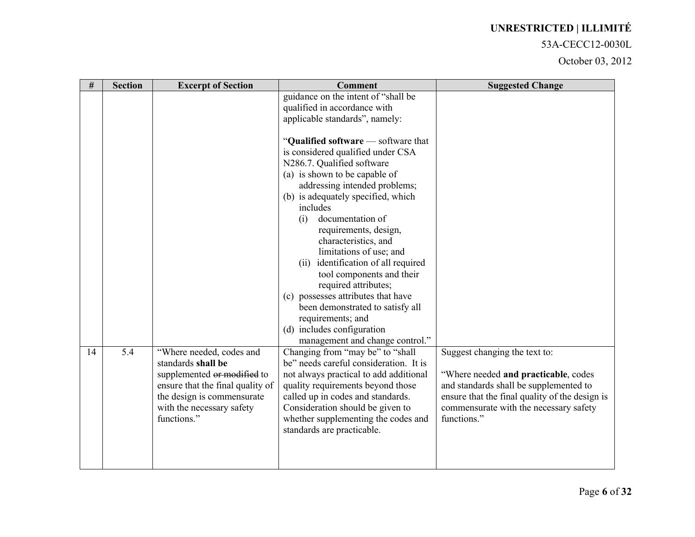#### 53A-CECC12-0030L

| $\#$ | <b>Section</b> | <b>Excerpt of Section</b>                                                                                                                                                                   | <b>Comment</b>                                                                                                                                                                                                                                                                                                                                                                                                                                                                                                                                                                                   | <b>Suggested Change</b>                                                                                                                                                                                                    |
|------|----------------|---------------------------------------------------------------------------------------------------------------------------------------------------------------------------------------------|--------------------------------------------------------------------------------------------------------------------------------------------------------------------------------------------------------------------------------------------------------------------------------------------------------------------------------------------------------------------------------------------------------------------------------------------------------------------------------------------------------------------------------------------------------------------------------------------------|----------------------------------------------------------------------------------------------------------------------------------------------------------------------------------------------------------------------------|
|      |                |                                                                                                                                                                                             | guidance on the intent of "shall be<br>qualified in accordance with<br>applicable standards", namely:                                                                                                                                                                                                                                                                                                                                                                                                                                                                                            |                                                                                                                                                                                                                            |
|      |                |                                                                                                                                                                                             | "Qualified software — software that<br>is considered qualified under CSA<br>N286.7. Qualified software<br>(a) is shown to be capable of<br>addressing intended problems;<br>(b) is adequately specified, which<br>includes<br>documentation of<br>(i)<br>requirements, design,<br>characteristics, and<br>limitations of use; and<br>identification of all required<br>(ii)<br>tool components and their<br>required attributes;<br>(c) possesses attributes that have<br>been demonstrated to satisfy all<br>requirements; and<br>(d) includes configuration<br>management and change control." |                                                                                                                                                                                                                            |
| 14   | 5.4            | "Where needed, codes and<br>standards shall be<br>supplemented or modified to<br>ensure that the final quality of<br>the design is commensurate<br>with the necessary safety<br>functions." | Changing from "may be" to "shall<br>be" needs careful consideration. It is<br>not always practical to add additional<br>quality requirements beyond those<br>called up in codes and standards.<br>Consideration should be given to<br>whether supplementing the codes and<br>standards are practicable.                                                                                                                                                                                                                                                                                          | Suggest changing the text to:<br>"Where needed and practicable, codes<br>and standards shall be supplemented to<br>ensure that the final quality of the design is<br>commensurate with the necessary safety<br>functions." |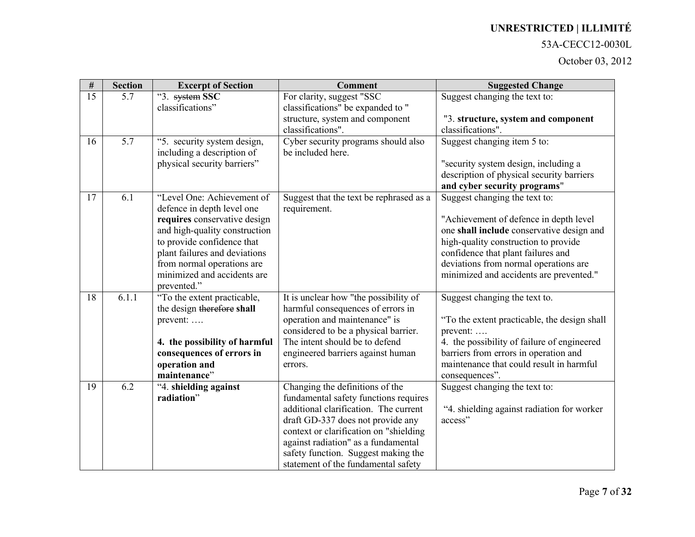#### 53A-CECC12-0030L

| $\#$            | <b>Section</b> | <b>Excerpt of Section</b>                                 | <b>Comment</b>                          | <b>Suggested Change</b>                                                          |
|-----------------|----------------|-----------------------------------------------------------|-----------------------------------------|----------------------------------------------------------------------------------|
| $\overline{15}$ | 5.7            | "3. system SSC                                            | For clarity, suggest "SSC               | Suggest changing the text to:                                                    |
|                 |                | classifications"                                          | classifications" be expanded to "       |                                                                                  |
|                 |                |                                                           | structure, system and component         | "3. structure, system and component                                              |
|                 |                |                                                           | classifications".                       | classifications".                                                                |
| 16              | 5.7            | "5. security system design,                               | Cyber security programs should also     | Suggest changing item 5 to:                                                      |
|                 |                | including a description of                                | be included here.                       |                                                                                  |
|                 |                | physical security barriers"                               |                                         | "security system design, including a                                             |
|                 |                |                                                           |                                         | description of physical security barriers                                        |
|                 |                |                                                           |                                         | and cyber security programs"                                                     |
| 17              | 6.1            | "Level One: Achievement of                                | Suggest that the text be rephrased as a | Suggest changing the text to:                                                    |
|                 |                | defence in depth level one                                | requirement.                            |                                                                                  |
|                 |                | requires conservative design                              |                                         | "Achievement of defence in depth level"                                          |
|                 |                | and high-quality construction                             |                                         | one shall include conservative design and                                        |
|                 |                | to provide confidence that                                |                                         | high-quality construction to provide                                             |
|                 |                | plant failures and deviations                             |                                         | confidence that plant failures and                                               |
|                 |                | from normal operations are<br>minimized and accidents are |                                         | deviations from normal operations are<br>minimized and accidents are prevented." |
|                 |                | prevented."                                               |                                         |                                                                                  |
| 18              | 6.1.1          | "To the extent practicable,                               | It is unclear how "the possibility of   | Suggest changing the text to.                                                    |
|                 |                | the design therefore shall                                | harmful consequences of errors in       |                                                                                  |
|                 |                | prevent:                                                  | operation and maintenance" is           | "To the extent practicable, the design shall                                     |
|                 |                |                                                           | considered to be a physical barrier.    | prevent:                                                                         |
|                 |                | 4. the possibility of harmful                             | The intent should be to defend          | 4. the possibility of failure of engineered                                      |
|                 |                | consequences of errors in                                 | engineered barriers against human       | barriers from errors in operation and                                            |
|                 |                | operation and                                             | errors.                                 | maintenance that could result in harmful                                         |
|                 |                | maintenance"                                              |                                         | consequences".                                                                   |
| 19              | 6.2            | "4. shielding against                                     | Changing the definitions of the         | Suggest changing the text to:                                                    |
|                 |                | radiation"                                                | fundamental safety functions requires   |                                                                                  |
|                 |                |                                                           | additional clarification. The current   | "4. shielding against radiation for worker                                       |
|                 |                |                                                           | draft GD-337 does not provide any       | access"                                                                          |
|                 |                |                                                           | context or clarification on "shielding  |                                                                                  |
|                 |                |                                                           | against radiation" as a fundamental     |                                                                                  |
|                 |                |                                                           | safety function. Suggest making the     |                                                                                  |
|                 |                |                                                           | statement of the fundamental safety     |                                                                                  |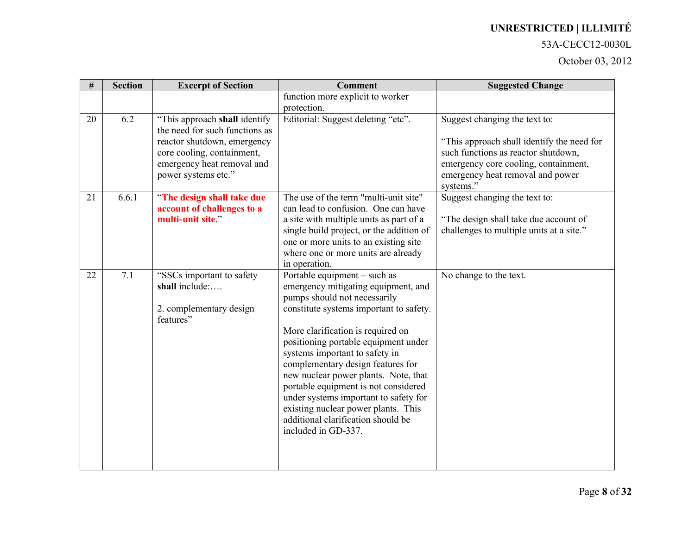#### 53A-CECC12-0030L

| #  | <b>Section</b> | <b>Excerpt of Section</b>                                                                                                                                                         | <b>Comment</b>                                                                                                                                                                                                                                                                                                                                                                                                                                                                                                                  | <b>Suggested Change</b>                                                                                                                                                                                     |
|----|----------------|-----------------------------------------------------------------------------------------------------------------------------------------------------------------------------------|---------------------------------------------------------------------------------------------------------------------------------------------------------------------------------------------------------------------------------------------------------------------------------------------------------------------------------------------------------------------------------------------------------------------------------------------------------------------------------------------------------------------------------|-------------------------------------------------------------------------------------------------------------------------------------------------------------------------------------------------------------|
|    |                |                                                                                                                                                                                   | function more explicit to worker<br>protection.                                                                                                                                                                                                                                                                                                                                                                                                                                                                                 |                                                                                                                                                                                                             |
| 20 | 6.2            | "This approach shall identify<br>the need for such functions as<br>reactor shutdown, emergency<br>core cooling, containment,<br>emergency heat removal and<br>power systems etc." | Editorial: Suggest deleting "etc".                                                                                                                                                                                                                                                                                                                                                                                                                                                                                              | Suggest changing the text to:<br>"This approach shall identify the need for<br>such functions as reactor shutdown,<br>emergency core cooling, containment,<br>emergency heat removal and power<br>systems." |
| 21 | 6.6.1          | "The design shall take due<br>account of challenges to a<br>multi-unit site."                                                                                                     | The use of the term "multi-unit site"<br>can lead to confusion. One can have<br>a site with multiple units as part of a<br>single build project, or the addition of<br>one or more units to an existing site<br>where one or more units are already<br>in operation.                                                                                                                                                                                                                                                            | Suggest changing the text to:<br>"The design shall take due account of<br>challenges to multiple units at a site."                                                                                          |
| 22 | 7.1            | "SSCs important to safety<br>shall include:<br>2. complementary design<br>features"                                                                                               | Portable equipment - such as<br>emergency mitigating equipment, and<br>pumps should not necessarily<br>constitute systems important to safety.<br>More clarification is required on<br>positioning portable equipment under<br>systems important to safety in<br>complementary design features for<br>new nuclear power plants. Note, that<br>portable equipment is not considered<br>under systems important to safety for<br>existing nuclear power plants. This<br>additional clarification should be<br>included in GD-337. | No change to the text.                                                                                                                                                                                      |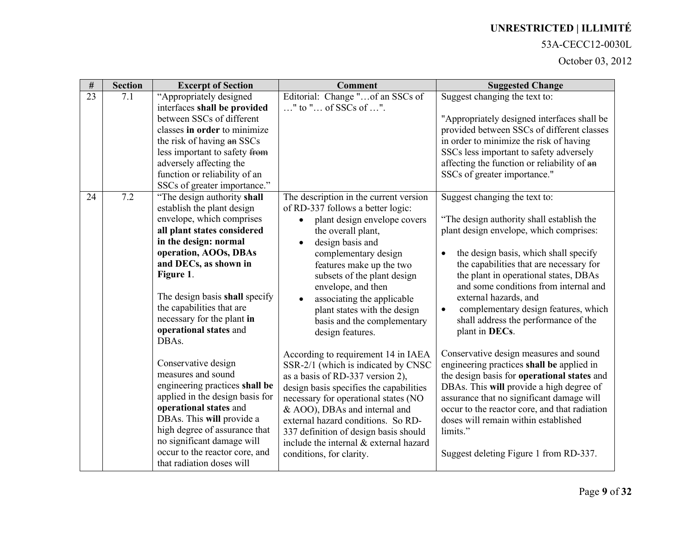### 53A-CECC12-0030L

| $\#$ | <b>Section</b> | <b>Excerpt of Section</b>                                                                                                                                                                                                                                                                                                                                                                                                                                                                                                                                                                                                                             | <b>Comment</b>                                                                                                                                                                                                                                                                                                                                                                                                                                                                                                                                                                                                                                                                                                                                                                          | <b>Suggested Change</b>                                                                                                                                                                                                                                                                                                                                                                                                                                                                                                                                                                                                                                                                                                                                                                                                        |
|------|----------------|-------------------------------------------------------------------------------------------------------------------------------------------------------------------------------------------------------------------------------------------------------------------------------------------------------------------------------------------------------------------------------------------------------------------------------------------------------------------------------------------------------------------------------------------------------------------------------------------------------------------------------------------------------|-----------------------------------------------------------------------------------------------------------------------------------------------------------------------------------------------------------------------------------------------------------------------------------------------------------------------------------------------------------------------------------------------------------------------------------------------------------------------------------------------------------------------------------------------------------------------------------------------------------------------------------------------------------------------------------------------------------------------------------------------------------------------------------------|--------------------------------------------------------------------------------------------------------------------------------------------------------------------------------------------------------------------------------------------------------------------------------------------------------------------------------------------------------------------------------------------------------------------------------------------------------------------------------------------------------------------------------------------------------------------------------------------------------------------------------------------------------------------------------------------------------------------------------------------------------------------------------------------------------------------------------|
| 23   | 7.1            | "Appropriately designed<br>interfaces shall be provided<br>between SSCs of different<br>classes in order to minimize<br>the risk of having an SSCs<br>less important to safety from<br>adversely affecting the<br>function or reliability of an<br>SSCs of greater importance."                                                                                                                                                                                                                                                                                                                                                                       | Editorial: Change "of an SSCs of<br>" to " of SSCs of ".                                                                                                                                                                                                                                                                                                                                                                                                                                                                                                                                                                                                                                                                                                                                | Suggest changing the text to:<br>"Appropriately designed interfaces shall be<br>provided between SSCs of different classes<br>in order to minimize the risk of having<br>SSCs less important to safety adversely<br>affecting the function or reliability of an<br>SSCs of greater importance."                                                                                                                                                                                                                                                                                                                                                                                                                                                                                                                                |
| 24   | 7.2            | "The design authority shall"<br>establish the plant design<br>envelope, which comprises<br>all plant states considered<br>in the design: normal<br>operation, AOOs, DBAs<br>and DECs, as shown in<br>Figure 1.<br>The design basis shall specify<br>the capabilities that are<br>necessary for the plant in<br>operational states and<br>DBAs.<br>Conservative design<br>measures and sound<br>engineering practices shall be<br>applied in the design basis for<br>operational states and<br>DBAs. This will provide a<br>high degree of assurance that<br>no significant damage will<br>occur to the reactor core, and<br>that radiation doses will | The description in the current version<br>of RD-337 follows a better logic:<br>plant design envelope covers<br>the overall plant,<br>design basis and<br>$\bullet$<br>complementary design<br>features make up the two<br>subsets of the plant design<br>envelope, and then<br>associating the applicable<br>plant states with the design<br>basis and the complementary<br>design features.<br>According to requirement 14 in IAEA<br>SSR-2/1 (which is indicated by CNSC<br>as a basis of RD-337 version 2),<br>design basis specifies the capabilities<br>necessary for operational states (NO<br>& AOO), DBAs and internal and<br>external hazard conditions. So RD-<br>337 definition of design basis should<br>include the internal & external hazard<br>conditions, for clarity. | Suggest changing the text to:<br>"The design authority shall establish the<br>plant design envelope, which comprises:<br>the design basis, which shall specify<br>$\bullet$<br>the capabilities that are necessary for<br>the plant in operational states, DBAs<br>and some conditions from internal and<br>external hazards, and<br>complementary design features, which<br>$\bullet$<br>shall address the performance of the<br>plant in DECs.<br>Conservative design measures and sound<br>engineering practices shall be applied in<br>the design basis for operational states and<br>DBAs. This will provide a high degree of<br>assurance that no significant damage will<br>occur to the reactor core, and that radiation<br>doses will remain within established<br>limits."<br>Suggest deleting Figure 1 from RD-337. |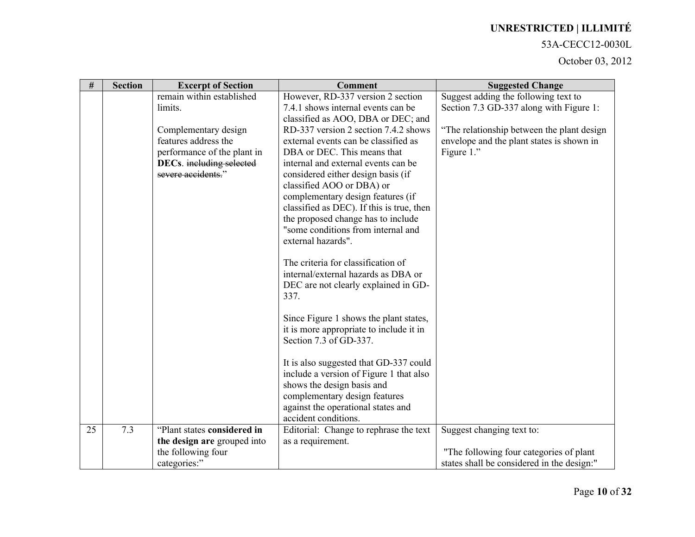#### 53A-CECC12-0030L

| $\#$ | <b>Section</b> | <b>Excerpt of Section</b>   | <b>Comment</b>                                                                  | <b>Suggested Change</b>                    |
|------|----------------|-----------------------------|---------------------------------------------------------------------------------|--------------------------------------------|
|      |                | remain within established   | However, RD-337 version 2 section                                               | Suggest adding the following text to       |
|      |                | limits.                     | 7.4.1 shows internal events can be                                              | Section 7.3 GD-337 along with Figure 1:    |
|      |                |                             | classified as AOO, DBA or DEC; and                                              |                                            |
|      |                | Complementary design        | RD-337 version 2 section 7.4.2 shows                                            | "The relationship between the plant design |
|      |                | features address the        | external events can be classified as                                            | envelope and the plant states is shown in  |
|      |                | performance of the plant in | DBA or DEC. This means that                                                     | Figure 1."                                 |
|      |                | DECs. including selected    | internal and external events can be                                             |                                            |
|      |                | severe accidents."          | considered either design basis (if                                              |                                            |
|      |                |                             | classified AOO or DBA) or                                                       |                                            |
|      |                |                             | complementary design features (if                                               |                                            |
|      |                |                             | classified as DEC). If this is true, then<br>the proposed change has to include |                                            |
|      |                |                             | "some conditions from internal and                                              |                                            |
|      |                |                             | external hazards".                                                              |                                            |
|      |                |                             |                                                                                 |                                            |
|      |                |                             | The criteria for classification of                                              |                                            |
|      |                |                             | internal/external hazards as DBA or                                             |                                            |
|      |                |                             | DEC are not clearly explained in GD-                                            |                                            |
|      |                |                             | 337.                                                                            |                                            |
|      |                |                             |                                                                                 |                                            |
|      |                |                             | Since Figure 1 shows the plant states,                                          |                                            |
|      |                |                             | it is more appropriate to include it in                                         |                                            |
|      |                |                             | Section 7.3 of GD-337.                                                          |                                            |
|      |                |                             |                                                                                 |                                            |
|      |                |                             | It is also suggested that GD-337 could                                          |                                            |
|      |                |                             | include a version of Figure 1 that also                                         |                                            |
|      |                |                             | shows the design basis and                                                      |                                            |
|      |                |                             | complementary design features                                                   |                                            |
|      |                |                             | against the operational states and<br>accident conditions.                      |                                            |
| 25   | 7.3            | "Plant states considered in | Editorial: Change to rephrase the text                                          | Suggest changing text to:                  |
|      |                | the design are grouped into | as a requirement.                                                               |                                            |
|      |                | the following four          |                                                                                 | "The following four categories of plant    |
|      |                | categories:"                |                                                                                 | states shall be considered in the design:" |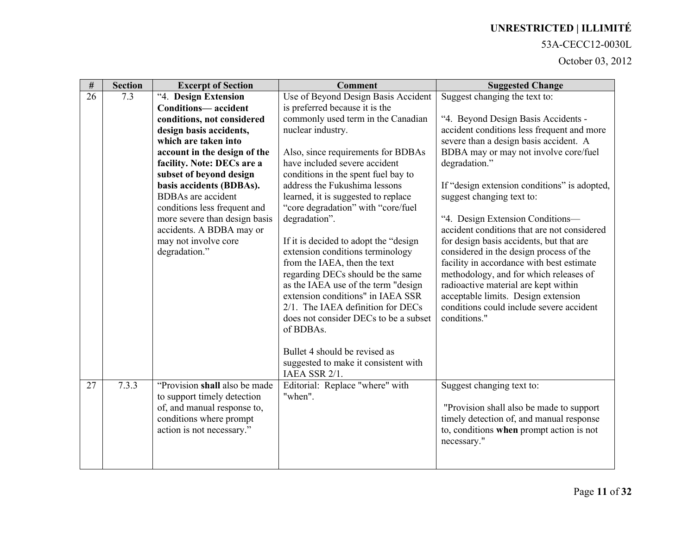#### 53A-CECC12-0030L

| $\overline{\#}$ | <b>Section</b> | <b>Excerpt of Section</b>     | <b>Comment</b>                                                           | <b>Suggested Change</b>                                                        |
|-----------------|----------------|-------------------------------|--------------------------------------------------------------------------|--------------------------------------------------------------------------------|
| 26              | 7.3            | "4. Design Extension          | Use of Beyond Design Basis Accident                                      | Suggest changing the text to:                                                  |
|                 |                | <b>Conditions-accident</b>    | is preferred because it is the                                           |                                                                                |
|                 |                | conditions, not considered    | commonly used term in the Canadian                                       | "4. Beyond Design Basis Accidents -                                            |
|                 |                | design basis accidents,       | nuclear industry.                                                        | accident conditions less frequent and more                                     |
|                 |                | which are taken into          |                                                                          | severe than a design basis accident. A                                         |
|                 |                | account in the design of the  | Also, since requirements for BDBAs                                       | BDBA may or may not involve core/fuel                                          |
|                 |                | facility. Note: DECs are a    | have included severe accident                                            | degradation."                                                                  |
|                 |                | subset of beyond design       | conditions in the spent fuel bay to                                      |                                                                                |
|                 |                | basis accidents (BDBAs).      | address the Fukushima lessons                                            | If "design extension conditions" is adopted,                                   |
|                 |                | <b>BDBAs</b> are accident     | learned, it is suggested to replace                                      | suggest changing text to:                                                      |
|                 |                | conditions less frequent and  | "core degradation" with "core/fuel"                                      |                                                                                |
|                 |                | more severe than design basis | degradation".                                                            | "4. Design Extension Conditions-                                               |
|                 |                | accidents. A BDBA may or      |                                                                          | accident conditions that are not considered                                    |
|                 |                | may not involve core          | If it is decided to adopt the "design"                                   | for design basis accidents, but that are                                       |
|                 |                | degradation."                 | extension conditions terminology                                         | considered in the design process of the                                        |
|                 |                |                               | from the IAEA, then the text                                             | facility in accordance with best estimate                                      |
|                 |                |                               | regarding DECs should be the same<br>as the IAEA use of the term "design | methodology, and for which releases of<br>radioactive material are kept within |
|                 |                |                               | extension conditions" in IAEA SSR                                        | acceptable limits. Design extension                                            |
|                 |                |                               | 2/1. The IAEA definition for DECs                                        | conditions could include severe accident                                       |
|                 |                |                               | does not consider DECs to be a subset                                    | conditions."                                                                   |
|                 |                |                               | of BDBAs.                                                                |                                                                                |
|                 |                |                               |                                                                          |                                                                                |
|                 |                |                               | Bullet 4 should be revised as                                            |                                                                                |
|                 |                |                               | suggested to make it consistent with                                     |                                                                                |
|                 |                |                               | IAEA SSR 2/1.                                                            |                                                                                |
| 27              | 7.3.3          | "Provision shall also be made | Editorial: Replace "where" with                                          | Suggest changing text to:                                                      |
|                 |                | to support timely detection   | "when".                                                                  |                                                                                |
|                 |                | of, and manual response to,   |                                                                          | "Provision shall also be made to support"                                      |
|                 |                | conditions where prompt       |                                                                          | timely detection of, and manual response                                       |
|                 |                | action is not necessary."     |                                                                          | to, conditions when prompt action is not                                       |
|                 |                |                               |                                                                          | necessary."                                                                    |
|                 |                |                               |                                                                          |                                                                                |
|                 |                |                               |                                                                          |                                                                                |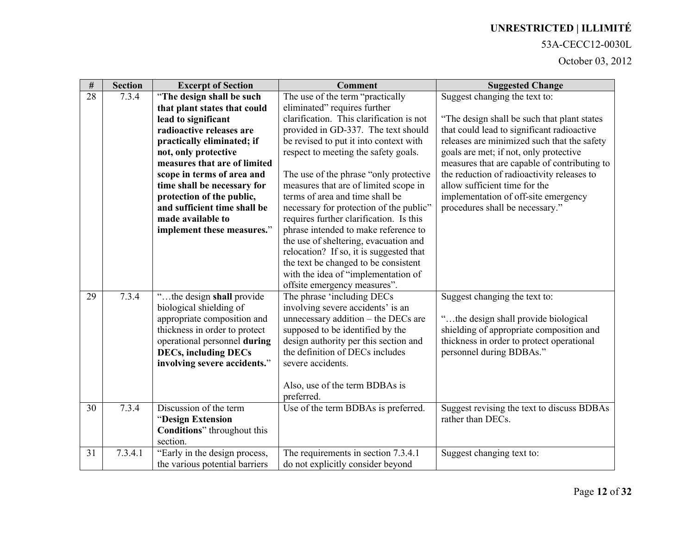#### 53A-CECC12-0030L

| $\#$ | <b>Section</b> | <b>Excerpt of Section</b>      | <b>Comment</b>                           | <b>Suggested Change</b>                      |
|------|----------------|--------------------------------|------------------------------------------|----------------------------------------------|
| 28   | 7.3.4          | "The design shall be such      | The use of the term "practically         | Suggest changing the text to:                |
|      |                | that plant states that could   | eliminated" requires further             |                                              |
|      |                | lead to significant            | clarification. This clarification is not | "The design shall be such that plant states  |
|      |                | radioactive releases are       | provided in GD-337. The text should      | that could lead to significant radioactive   |
|      |                | practically eliminated; if     | be revised to put it into context with   | releases are minimized such that the safety  |
|      |                | not, only protective           | respect to meeting the safety goals.     | goals are met; if not, only protective       |
|      |                | measures that are of limited   |                                          | measures that are capable of contributing to |
|      |                | scope in terms of area and     | The use of the phrase "only protective"  | the reduction of radioactivity releases to   |
|      |                | time shall be necessary for    | measures that are of limited scope in    | allow sufficient time for the                |
|      |                | protection of the public,      | terms of area and time shall be          | implementation of off-site emergency         |
|      |                | and sufficient time shall be   | necessary for protection of the public"  | procedures shall be necessary."              |
|      |                | made available to              | requires further clarification. Is this  |                                              |
|      |                | implement these measures."     | phrase intended to make reference to     |                                              |
|      |                |                                | the use of sheltering, evacuation and    |                                              |
|      |                |                                | relocation? If so, it is suggested that  |                                              |
|      |                |                                | the text be changed to be consistent     |                                              |
|      |                |                                | with the idea of "implementation of      |                                              |
|      |                |                                | offsite emergency measures".             |                                              |
| 29   | 7.3.4          | "the design shall provide      | The phrase 'including DECs               | Suggest changing the text to:                |
|      |                | biological shielding of        | involving severe accidents' is an        |                                              |
|      |                | appropriate composition and    | unnecessary addition - the DECs are      | "the design shall provide biological         |
|      |                | thickness in order to protect  | supposed to be identified by the         | shielding of appropriate composition and     |
|      |                | operational personnel during   | design authority per this section and    | thickness in order to protect operational    |
|      |                | <b>DECs, including DECs</b>    | the definition of DECs includes          | personnel during BDBAs."                     |
|      |                | involving severe accidents."   | severe accidents.                        |                                              |
|      |                |                                |                                          |                                              |
|      |                |                                | Also, use of the term BDBAs is           |                                              |
|      |                |                                | preferred.                               |                                              |
| 30   | 7.3.4          | Discussion of the term         | Use of the term BDBAs is preferred.      | Suggest revising the text to discuss BDBAs   |
|      |                | "Design Extension              |                                          | rather than DECs.                            |
|      |                | Conditions" throughout this    |                                          |                                              |
|      |                | section.                       |                                          |                                              |
| 31   | 7.3.4.1        | "Early in the design process,  | The requirements in section 7.3.4.1      | Suggest changing text to:                    |
|      |                | the various potential barriers | do not explicitly consider beyond        |                                              |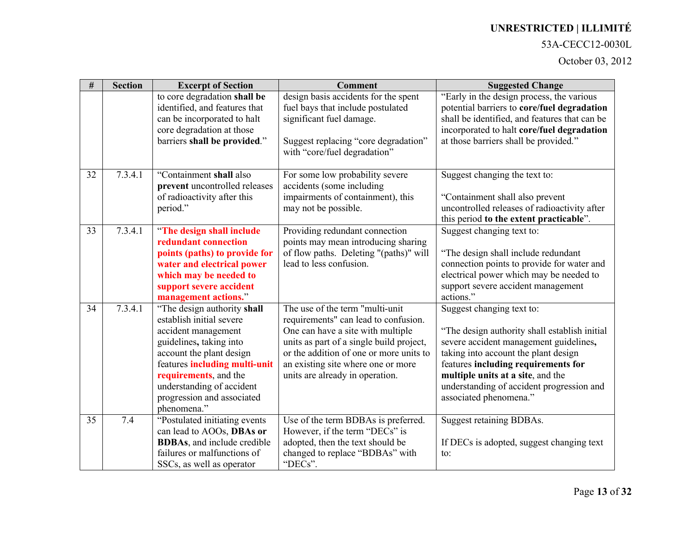### 53A-CECC12-0030L

| #  | <b>Section</b> | <b>Excerpt of Section</b>                 | <b>Comment</b>                                                       | <b>Suggested Change</b>                       |
|----|----------------|-------------------------------------------|----------------------------------------------------------------------|-----------------------------------------------|
|    |                | to core degradation shall be              | design basis accidents for the spent                                 | "Early in the design process, the various     |
|    |                | identified, and features that             | fuel bays that include postulated                                    | potential barriers to core/fuel degradation   |
|    |                | can be incorporated to halt               | significant fuel damage.                                             | shall be identified, and features that can be |
|    |                | core degradation at those                 |                                                                      | incorporated to halt core/fuel degradation    |
|    |                | barriers shall be provided."              | Suggest replacing "core degradation"<br>with "core/fuel degradation" | at those barriers shall be provided."         |
|    |                |                                           |                                                                      |                                               |
| 32 | 7.3.4.1        | "Containment shall also                   | For some low probability severe                                      | Suggest changing the text to:                 |
|    |                | prevent uncontrolled releases             | accidents (some including                                            |                                               |
|    |                | of radioactivity after this               | impairments of containment), this                                    | "Containment shall also prevent               |
|    |                | period."                                  | may not be possible.                                                 | uncontrolled releases of radioactivity after  |
|    |                |                                           |                                                                      | this period to the extent practicable".       |
| 33 | 7.3.4.1        | "The design shall include                 | Providing redundant connection                                       | Suggest changing text to:                     |
|    |                | redundant connection                      | points may mean introducing sharing                                  |                                               |
|    |                | points (paths) to provide for             | of flow paths. Deleting "(paths)" will                               | "The design shall include redundant           |
|    |                | water and electrical power                | lead to less confusion.                                              | connection points to provide for water and    |
|    |                | which may be needed to                    |                                                                      | electrical power which may be needed to       |
|    |                | support severe accident                   |                                                                      | support severe accident management            |
|    |                | management actions."                      |                                                                      | actions."                                     |
| 34 | 7.3.4.1        | "The design authority shall               | The use of the term "multi-unit"                                     | Suggest changing text to:                     |
|    |                | establish initial severe                  | requirements" can lead to confusion.                                 |                                               |
|    |                | accident management                       | One can have a site with multiple                                    | "The design authority shall establish initial |
|    |                | guidelines, taking into                   | units as part of a single build project,                             | severe accident management guidelines,        |
|    |                | account the plant design                  | or the addition of one or more units to                              | taking into account the plant design          |
|    |                | features including multi-unit             | an existing site where one or more                                   | features including requirements for           |
|    |                | requirements, and the                     | units are already in operation.                                      | multiple units at a site, and the             |
|    |                | understanding of accident                 |                                                                      | understanding of accident progression and     |
|    |                | progression and associated<br>phenomena." |                                                                      | associated phenomena."                        |
| 35 | 7.4            | "Postulated initiating events             | Use of the term BDBAs is preferred.                                  | Suggest retaining BDBAs.                      |
|    |                | can lead to AOOs, DBAs or                 | However, if the term "DECs" is                                       |                                               |
|    |                | <b>BDBAs</b> , and include credible       | adopted, then the text should be                                     | If DECs is adopted, suggest changing text     |
|    |                | failures or malfunctions of               | changed to replace "BDBAs" with                                      | to:                                           |
|    |                | SSCs, as well as operator                 | "DECs".                                                              |                                               |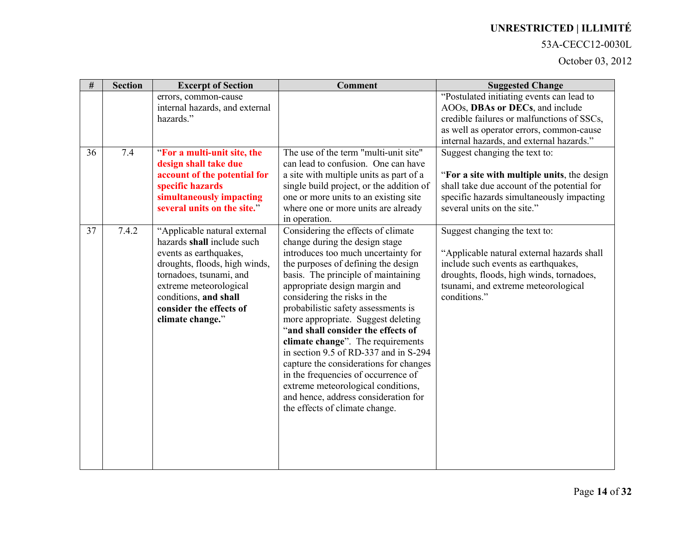#### 53A-CECC12-0030L

| $\#$ | <b>Section</b> | <b>Excerpt of Section</b>                                                                                                                                                                                                                          | <b>Comment</b>                                                                                                                                                                                                                                                                                                                                                                                                                                                                                                                                                                                                                                               | <b>Suggested Change</b>                                                                                                                                                                                               |
|------|----------------|----------------------------------------------------------------------------------------------------------------------------------------------------------------------------------------------------------------------------------------------------|--------------------------------------------------------------------------------------------------------------------------------------------------------------------------------------------------------------------------------------------------------------------------------------------------------------------------------------------------------------------------------------------------------------------------------------------------------------------------------------------------------------------------------------------------------------------------------------------------------------------------------------------------------------|-----------------------------------------------------------------------------------------------------------------------------------------------------------------------------------------------------------------------|
|      |                | errors, common-cause<br>internal hazards, and external<br>hazards."                                                                                                                                                                                |                                                                                                                                                                                                                                                                                                                                                                                                                                                                                                                                                                                                                                                              | "Postulated initiating events can lead to<br>AOOs, DBAs or DECs, and include<br>credible failures or malfunctions of SSCs,<br>as well as operator errors, common-cause<br>internal hazards, and external hazards."    |
| 36   | 7.4            | "For a multi-unit site, the<br>design shall take due<br>account of the potential for<br>specific hazards<br>simultaneously impacting<br>several units on the site."                                                                                | The use of the term "multi-unit site"<br>can lead to confusion. One can have<br>a site with multiple units as part of a<br>single build project, or the addition of<br>one or more units to an existing site<br>where one or more units are already<br>in operation.                                                                                                                                                                                                                                                                                                                                                                                         | Suggest changing the text to:<br>"For a site with multiple units, the design<br>shall take due account of the potential for<br>specific hazards simultaneously impacting<br>several units on the site."               |
| 37   | 7.4.2          | "Applicable natural external<br>hazards shall include such<br>events as earthquakes,<br>droughts, floods, high winds,<br>tornadoes, tsunami, and<br>extreme meteorological<br>conditions, and shall<br>consider the effects of<br>climate change." | Considering the effects of climate<br>change during the design stage<br>introduces too much uncertainty for<br>the purposes of defining the design<br>basis. The principle of maintaining<br>appropriate design margin and<br>considering the risks in the<br>probabilistic safety assessments is<br>more appropriate. Suggest deleting<br>"and shall consider the effects of<br>climate change". The requirements<br>in section 9.5 of RD-337 and in S-294<br>capture the considerations for changes<br>in the frequencies of occurrence of<br>extreme meteorological conditions,<br>and hence, address consideration for<br>the effects of climate change. | Suggest changing the text to:<br>"Applicable natural external hazards shall<br>include such events as earthquakes,<br>droughts, floods, high winds, tornadoes,<br>tsunami, and extreme meteorological<br>conditions." |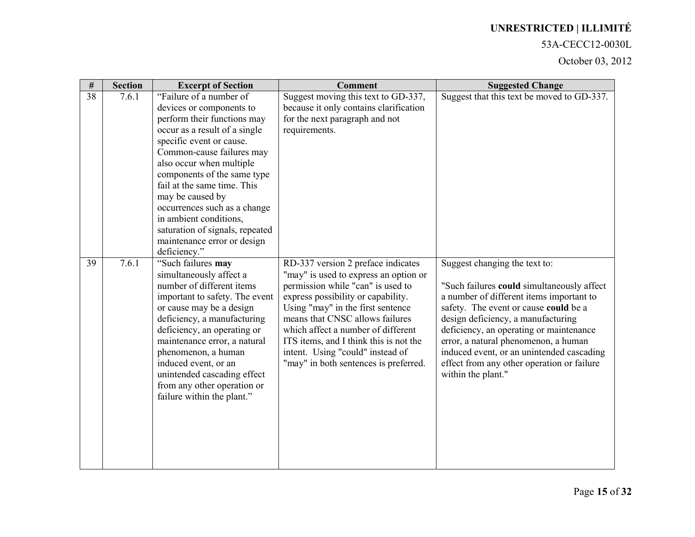#### 53A-CECC12-0030L

| $\#$ | <b>Section</b> | <b>Excerpt of Section</b>                                                                                                                                                                              | <b>Comment</b>                                                                                                                                                                                                                                                       | <b>Suggested Change</b>                                                                                                                                                                                                                           |
|------|----------------|--------------------------------------------------------------------------------------------------------------------------------------------------------------------------------------------------------|----------------------------------------------------------------------------------------------------------------------------------------------------------------------------------------------------------------------------------------------------------------------|---------------------------------------------------------------------------------------------------------------------------------------------------------------------------------------------------------------------------------------------------|
| 38   | 7.6.1          | "Failure of a number of<br>devices or components to                                                                                                                                                    | Suggest moving this text to GD-337,<br>because it only contains clarification                                                                                                                                                                                        | Suggest that this text be moved to GD-337.                                                                                                                                                                                                        |
|      |                | perform their functions may<br>occur as a result of a single                                                                                                                                           | for the next paragraph and not<br>requirements.                                                                                                                                                                                                                      |                                                                                                                                                                                                                                                   |
|      |                | specific event or cause.                                                                                                                                                                               |                                                                                                                                                                                                                                                                      |                                                                                                                                                                                                                                                   |
|      |                | Common-cause failures may                                                                                                                                                                              |                                                                                                                                                                                                                                                                      |                                                                                                                                                                                                                                                   |
|      |                | also occur when multiple<br>components of the same type                                                                                                                                                |                                                                                                                                                                                                                                                                      |                                                                                                                                                                                                                                                   |
|      |                | fail at the same time. This                                                                                                                                                                            |                                                                                                                                                                                                                                                                      |                                                                                                                                                                                                                                                   |
|      |                | may be caused by                                                                                                                                                                                       |                                                                                                                                                                                                                                                                      |                                                                                                                                                                                                                                                   |
|      |                | occurrences such as a change                                                                                                                                                                           |                                                                                                                                                                                                                                                                      |                                                                                                                                                                                                                                                   |
|      |                | in ambient conditions,<br>saturation of signals, repeated                                                                                                                                              |                                                                                                                                                                                                                                                                      |                                                                                                                                                                                                                                                   |
|      |                | maintenance error or design                                                                                                                                                                            |                                                                                                                                                                                                                                                                      |                                                                                                                                                                                                                                                   |
|      |                | deficiency."                                                                                                                                                                                           |                                                                                                                                                                                                                                                                      |                                                                                                                                                                                                                                                   |
| 39   | 7.6.1          | "Such failures may<br>simultaneously affect a<br>number of different items<br>important to safety. The event<br>or cause may be a design<br>deficiency, a manufacturing<br>deficiency, an operating or | RD-337 version 2 preface indicates<br>"may" is used to express an option or<br>permission while "can" is used to<br>express possibility or capability.<br>Using "may" in the first sentence<br>means that CNSC allows failures<br>which affect a number of different | Suggest changing the text to:<br>"Such failures could simultaneously affect<br>a number of different items important to<br>safety. The event or cause could be a<br>design deficiency, a manufacturing<br>deficiency, an operating or maintenance |
|      |                | maintenance error, a natural<br>phenomenon, a human<br>induced event, or an<br>unintended cascading effect<br>from any other operation or<br>failure within the plant."                                | ITS items, and I think this is not the<br>intent. Using "could" instead of<br>"may" in both sentences is preferred.                                                                                                                                                  | error, a natural phenomenon, a human<br>induced event, or an unintended cascading<br>effect from any other operation or failure<br>within the plant."                                                                                             |
|      |                |                                                                                                                                                                                                        |                                                                                                                                                                                                                                                                      |                                                                                                                                                                                                                                                   |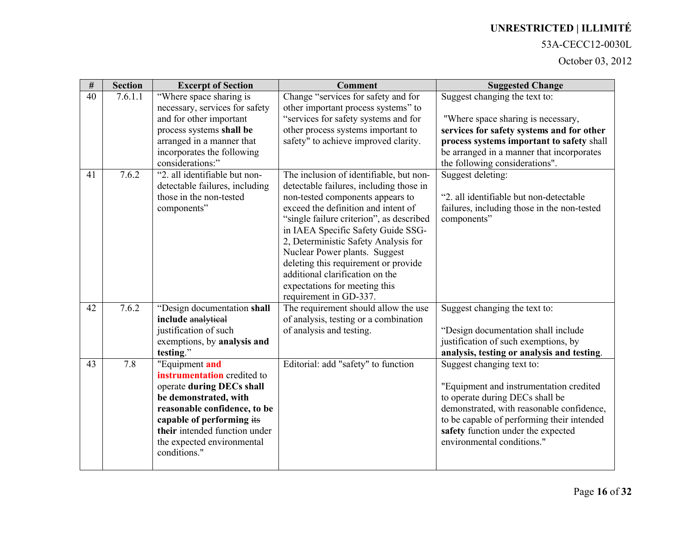#### 53A-CECC12-0030L

| $\#$ | <b>Section</b> | <b>Excerpt of Section</b>                                                                                                                                                                                                                       | <b>Comment</b>                                                                                                                                                                                                                                                                                                                                                                                                      | <b>Suggested Change</b>                                                                                                                                                                                                                                                |
|------|----------------|-------------------------------------------------------------------------------------------------------------------------------------------------------------------------------------------------------------------------------------------------|---------------------------------------------------------------------------------------------------------------------------------------------------------------------------------------------------------------------------------------------------------------------------------------------------------------------------------------------------------------------------------------------------------------------|------------------------------------------------------------------------------------------------------------------------------------------------------------------------------------------------------------------------------------------------------------------------|
| 40   | 7.6.1.1        | "Where space sharing is<br>necessary, services for safety<br>and for other important                                                                                                                                                            | Change "services for safety and for<br>other important process systems" to<br>"services for safety systems and for                                                                                                                                                                                                                                                                                                  | Suggest changing the text to:<br>"Where space sharing is necessary,                                                                                                                                                                                                    |
|      |                | process systems shall be                                                                                                                                                                                                                        | other process systems important to                                                                                                                                                                                                                                                                                                                                                                                  | services for safety systems and for other                                                                                                                                                                                                                              |
|      |                | arranged in a manner that<br>incorporates the following<br>considerations:"                                                                                                                                                                     | safety" to achieve improved clarity.                                                                                                                                                                                                                                                                                                                                                                                | process systems important to safety shall<br>be arranged in a manner that incorporates<br>the following considerations".                                                                                                                                               |
| 41   | 7.6.2          | "2. all identifiable but non-                                                                                                                                                                                                                   | The inclusion of identifiable, but non-                                                                                                                                                                                                                                                                                                                                                                             | Suggest deleting:                                                                                                                                                                                                                                                      |
|      |                | detectable failures, including<br>those in the non-tested<br>components"                                                                                                                                                                        | detectable failures, including those in<br>non-tested components appears to<br>exceed the definition and intent of<br>"single failure criterion", as described<br>in IAEA Specific Safety Guide SSG-<br>2, Deterministic Safety Analysis for<br>Nuclear Power plants. Suggest<br>deleting this requirement or provide<br>additional clarification on the<br>expectations for meeting this<br>requirement in GD-337. | "2. all identifiable but non-detectable<br>failures, including those in the non-tested<br>components"                                                                                                                                                                  |
| 42   | 7.6.2          | "Design documentation shall                                                                                                                                                                                                                     | The requirement should allow the use                                                                                                                                                                                                                                                                                                                                                                                | Suggest changing the text to:                                                                                                                                                                                                                                          |
|      |                | include analytical<br>justification of such<br>exemptions, by analysis and<br>testing."                                                                                                                                                         | of analysis, testing or a combination<br>of analysis and testing.                                                                                                                                                                                                                                                                                                                                                   | "Design documentation shall include<br>justification of such exemptions, by<br>analysis, testing or analysis and testing.                                                                                                                                              |
| 43   | 7.8            | "Equipment and<br>instrumentation credited to<br>operate during DECs shall<br>be demonstrated, with<br>reasonable confidence, to be<br>capable of performing its<br>their intended function under<br>the expected environmental<br>conditions." | Editorial: add "safety" to function                                                                                                                                                                                                                                                                                                                                                                                 | Suggest changing text to:<br>"Equipment and instrumentation credited<br>to operate during DECs shall be<br>demonstrated, with reasonable confidence,<br>to be capable of performing their intended<br>safety function under the expected<br>environmental conditions." |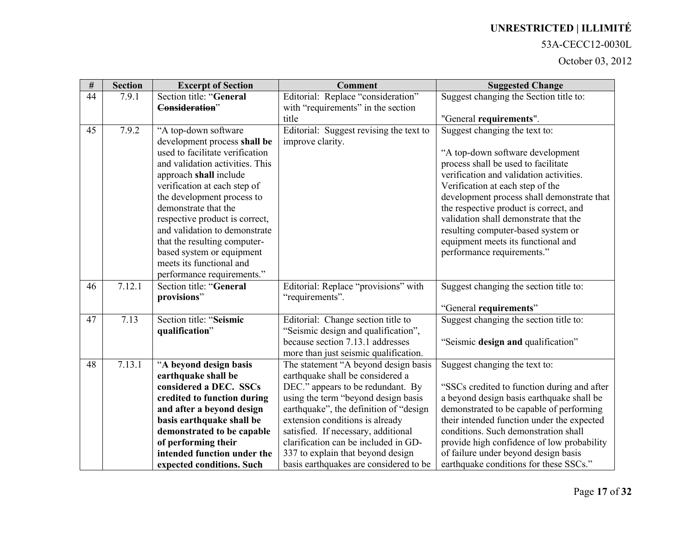#### 53A-CECC12-0030L

| $\#$ | <b>Section</b> | <b>Excerpt of Section</b>                             | <b>Comment</b>                          | <b>Suggested Change</b>                     |
|------|----------------|-------------------------------------------------------|-----------------------------------------|---------------------------------------------|
| 44   | 7.9.1          | Section title: "General                               | Editorial: Replace "consideration"      | Suggest changing the Section title to:      |
|      |                | Consideration"                                        | with "requirements" in the section      |                                             |
|      |                |                                                       | title                                   | "General requirements".                     |
| 45   | 7.9.2          | "A top-down software                                  | Editorial: Suggest revising the text to | Suggest changing the text to:               |
|      |                | development process shall be                          | improve clarity.                        |                                             |
|      |                | used to facilitate verification                       |                                         | "A top-down software development            |
|      |                | and validation activities. This                       |                                         | process shall be used to facilitate         |
|      |                | approach shall include                                |                                         | verification and validation activities.     |
|      |                | verification at each step of                          |                                         | Verification at each step of the            |
|      |                | the development process to                            |                                         | development process shall demonstrate that  |
|      |                | demonstrate that the                                  |                                         | the respective product is correct, and      |
|      |                | respective product is correct,                        |                                         | validation shall demonstrate that the       |
|      |                | and validation to demonstrate                         |                                         | resulting computer-based system or          |
|      |                | that the resulting computer-                          |                                         | equipment meets its functional and          |
|      |                | based system or equipment<br>meets its functional and |                                         | performance requirements."                  |
|      |                | performance requirements."                            |                                         |                                             |
| 46   | 7.12.1         | Section title: "General                               | Editorial: Replace "provisions" with    | Suggest changing the section title to:      |
|      |                | provisions"                                           | "requirements".                         |                                             |
|      |                |                                                       |                                         | "General requirements"                      |
| 47   | 7.13           | Section title: "Seismic                               | Editorial: Change section title to      | Suggest changing the section title to:      |
|      |                | qualification"                                        | "Seismic design and qualification",     |                                             |
|      |                |                                                       | because section 7.13.1 addresses        | "Seismic design and qualification"          |
|      |                |                                                       | more than just seismic qualification.   |                                             |
| 48   | 7.13.1         | "A beyond design basis                                | The statement "A beyond design basis    | Suggest changing the text to:               |
|      |                | earthquake shall be                                   | earthquake shall be considered a        |                                             |
|      |                | considered a DEC. SSCs                                | DEC." appears to be redundant. By       | "SSCs credited to function during and after |
|      |                | credited to function during                           | using the term "beyond design basis     | a beyond design basis earthquake shall be   |
|      |                | and after a beyond design                             | earthquake", the definition of "design  | demonstrated to be capable of performing    |
|      |                | basis earthquake shall be                             | extension conditions is already         | their intended function under the expected  |
|      |                | demonstrated to be capable                            | satisfied. If necessary, additional     | conditions. Such demonstration shall        |
|      |                | of performing their                                   | clarification can be included in GD-    | provide high confidence of low probability  |
|      |                | intended function under the                           | 337 to explain that beyond design       | of failure under beyond design basis        |
|      |                | expected conditions. Such                             | basis earthquakes are considered to be  | earthquake conditions for these SSCs."      |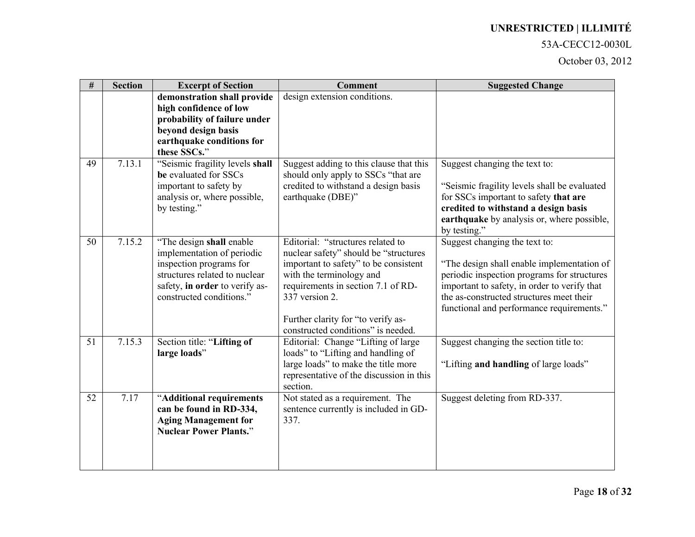#### 53A-CECC12-0030L

| $\#$ | <b>Section</b> | <b>Excerpt of Section</b>                                                                                                                                                         | <b>Comment</b>                                                                                                                                                                                                                                                                      | <b>Suggested Change</b>                                                                                                                                                                                                                                             |
|------|----------------|-----------------------------------------------------------------------------------------------------------------------------------------------------------------------------------|-------------------------------------------------------------------------------------------------------------------------------------------------------------------------------------------------------------------------------------------------------------------------------------|---------------------------------------------------------------------------------------------------------------------------------------------------------------------------------------------------------------------------------------------------------------------|
|      |                | demonstration shall provide<br>high confidence of low<br>probability of failure under<br>beyond design basis<br>earthquake conditions for<br>these SSCs."                         | design extension conditions.                                                                                                                                                                                                                                                        |                                                                                                                                                                                                                                                                     |
| 49   | 7.13.1         | "Seismic fragility levels shall<br>be evaluated for SSCs<br>important to safety by<br>analysis or, where possible,<br>by testing."                                                | Suggest adding to this clause that this<br>should only apply to SSCs "that are<br>credited to withstand a design basis<br>earthquake (DBE)"                                                                                                                                         | Suggest changing the text to:<br>"Seismic fragility levels shall be evaluated<br>for SSCs important to safety that are<br>credited to withstand a design basis<br>earthquake by analysis or, where possible,<br>by testing."                                        |
| 50   | 7.15.2         | "The design shall enable"<br>implementation of periodic<br>inspection programs for<br>structures related to nuclear<br>safety, in order to verify as-<br>constructed conditions." | Editorial: "structures related to<br>nuclear safety" should be "structures<br>important to safety" to be consistent<br>with the terminology and<br>requirements in section 7.1 of RD-<br>337 version 2.<br>Further clarity for "to verify as-<br>constructed conditions" is needed. | Suggest changing the text to:<br>"The design shall enable implementation of<br>periodic inspection programs for structures<br>important to safety, in order to verify that<br>the as-constructed structures meet their<br>functional and performance requirements." |
| 51   | 7.15.3         | Section title: "Lifting of<br>large loads"                                                                                                                                        | Editorial: Change "Lifting of large"<br>loads" to "Lifting and handling of<br>large loads" to make the title more<br>representative of the discussion in this<br>section.                                                                                                           | Suggest changing the section title to:<br>"Lifting and handling of large loads"                                                                                                                                                                                     |
| 52   | 7.17           | "Additional requirements<br>can be found in RD-334,<br><b>Aging Management for</b><br><b>Nuclear Power Plants."</b>                                                               | Not stated as a requirement. The<br>sentence currently is included in GD-<br>337.                                                                                                                                                                                                   | Suggest deleting from RD-337.                                                                                                                                                                                                                                       |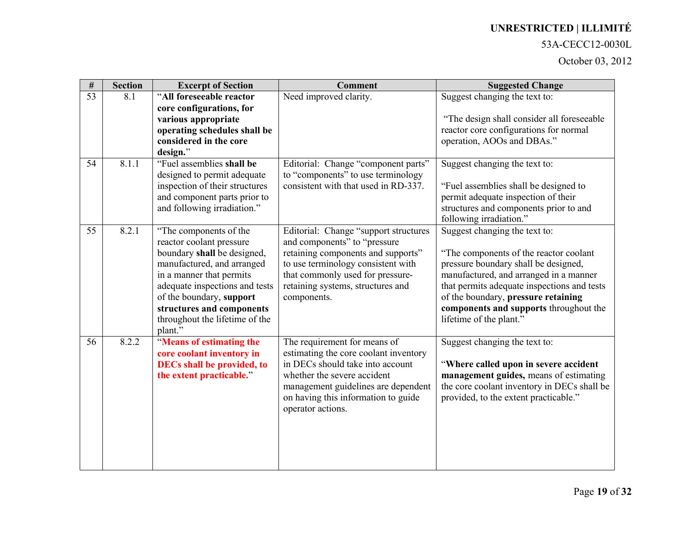### 53A-CECC12-0030L

| $\#$            | <b>Section</b> | <b>Excerpt of Section</b>                                                                                                                                                                                                                                                           | <b>Comment</b>                                                                                                                                                                                                                              | <b>Suggested Change</b>                                                                                                                                                                                                                                                                                               |
|-----------------|----------------|-------------------------------------------------------------------------------------------------------------------------------------------------------------------------------------------------------------------------------------------------------------------------------------|---------------------------------------------------------------------------------------------------------------------------------------------------------------------------------------------------------------------------------------------|-----------------------------------------------------------------------------------------------------------------------------------------------------------------------------------------------------------------------------------------------------------------------------------------------------------------------|
| $\overline{53}$ | 8.1            | "All foreseeable reactor                                                                                                                                                                                                                                                            | Need improved clarity.                                                                                                                                                                                                                      | Suggest changing the text to:                                                                                                                                                                                                                                                                                         |
|                 |                | core configurations, for<br>various appropriate<br>operating schedules shall be<br>considered in the core<br>design."                                                                                                                                                               |                                                                                                                                                                                                                                             | "The design shall consider all foreseeable<br>reactor core configurations for normal<br>operation, AOOs and DBAs."                                                                                                                                                                                                    |
| 54              | 8.1.1          | "Fuel assemblies shall be<br>designed to permit adequate<br>inspection of their structures<br>and component parts prior to<br>and following irradiation."                                                                                                                           | Editorial: Change "component parts"<br>to "components" to use terminology<br>consistent with that used in RD-337.                                                                                                                           | Suggest changing the text to:<br>"Fuel assemblies shall be designed to<br>permit adequate inspection of their<br>structures and components prior to and<br>following irradiation."                                                                                                                                    |
| 55              | 8.2.1          | "The components of the<br>reactor coolant pressure<br>boundary shall be designed,<br>manufactured, and arranged<br>in a manner that permits<br>adequate inspections and tests<br>of the boundary, support<br>structures and components<br>throughout the lifetime of the<br>plant." | Editorial: Change "support structures<br>and components" to "pressure<br>retaining components and supports"<br>to use terminology consistent with<br>that commonly used for pressure-<br>retaining systems, structures and<br>components.   | Suggest changing the text to:<br>"The components of the reactor coolant"<br>pressure boundary shall be designed,<br>manufactured, and arranged in a manner<br>that permits adequate inspections and tests<br>of the boundary, pressure retaining<br>components and supports throughout the<br>lifetime of the plant." |
| 56              | 8.2.2          | "Means of estimating the<br>core coolant inventory in<br><b>DECs shall be provided, to</b><br>the extent practicable."                                                                                                                                                              | The requirement for means of<br>estimating the core coolant inventory<br>in DECs should take into account<br>whether the severe accident<br>management guidelines are dependent<br>on having this information to guide<br>operator actions. | Suggest changing the text to:<br>"Where called upon in severe accident<br>management guides, means of estimating<br>the core coolant inventory in DECs shall be<br>provided, to the extent practicable."                                                                                                              |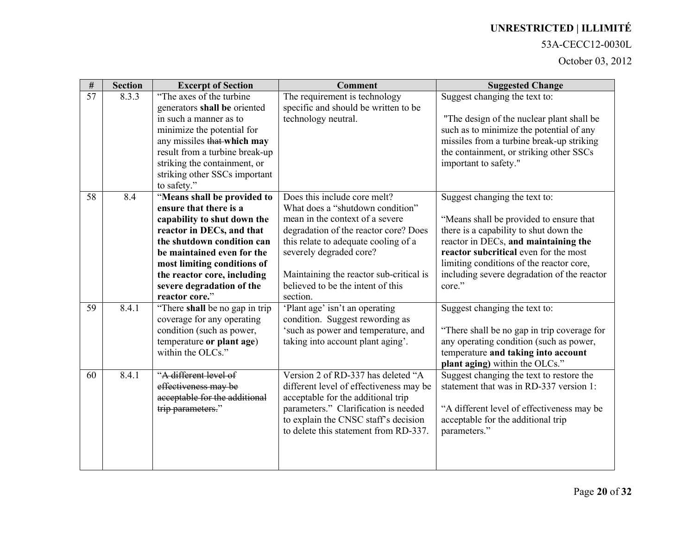#### 53A-CECC12-0030L

| $\overline{\#}$ | <b>Section</b> | <b>Excerpt of Section</b>                                | <b>Comment</b>                          | <b>Suggested Change</b>                                                           |
|-----------------|----------------|----------------------------------------------------------|-----------------------------------------|-----------------------------------------------------------------------------------|
| $\overline{57}$ | 8.3.3          | "The axes of the turbine"                                | The requirement is technology           | Suggest changing the text to:                                                     |
|                 |                | generators shall be oriented                             | specific and should be written to be    |                                                                                   |
|                 |                | in such a manner as to                                   | technology neutral.                     | "The design of the nuclear plant shall be                                         |
|                 |                | minimize the potential for                               |                                         | such as to minimize the potential of any                                          |
|                 |                | any missiles that which may                              |                                         | missiles from a turbine break-up striking                                         |
|                 |                | result from a turbine break-up                           |                                         | the containment, or striking other SSCs                                           |
|                 |                | striking the containment, or                             |                                         | important to safety."                                                             |
|                 |                | striking other SSCs important                            |                                         |                                                                                   |
|                 |                | to safety."                                              | Does this include core melt?            |                                                                                   |
| 58              | 8.4            | "Means shall be provided to<br>ensure that there is a    | What does a "shutdown condition"        | Suggest changing the text to:                                                     |
|                 |                |                                                          | mean in the context of a severe         |                                                                                   |
|                 |                | capability to shut down the<br>reactor in DECs, and that | degradation of the reactor core? Does   | "Means shall be provided to ensure that<br>there is a capability to shut down the |
|                 |                | the shutdown condition can                               | this relate to adequate cooling of a    | reactor in DECs, and maintaining the                                              |
|                 |                | be maintained even for the                               | severely degraded core?                 | reactor subcritical even for the most                                             |
|                 |                | most limiting conditions of                              |                                         | limiting conditions of the reactor core,                                          |
|                 |                | the reactor core, including                              | Maintaining the reactor sub-critical is | including severe degradation of the reactor                                       |
|                 |                | severe degradation of the                                | believed to be the intent of this       | core."                                                                            |
|                 |                | reactor core."                                           | section.                                |                                                                                   |
| 59              | 8.4.1          | "There shall be no gap in trip"                          | 'Plant age' isn't an operating          | Suggest changing the text to:                                                     |
|                 |                | coverage for any operating                               | condition. Suggest rewording as         |                                                                                   |
|                 |                | condition (such as power,                                | 'such as power and temperature, and     | "There shall be no gap in trip coverage for                                       |
|                 |                | temperature or plant age)                                | taking into account plant aging'.       | any operating condition (such as power,                                           |
|                 |                | within the OLCs."                                        |                                         | temperature and taking into account                                               |
|                 |                |                                                          |                                         | plant aging) within the OLCs."                                                    |
| 60              | 8.4.1          | "A different level of                                    | Version 2 of RD-337 has deleted "A      | Suggest changing the text to restore the                                          |
|                 |                | effectiveness may be                                     | different level of effectiveness may be | statement that was in RD-337 version 1:                                           |
|                 |                | acceptable for the additional                            | acceptable for the additional trip      |                                                                                   |
|                 |                | trip parameters."                                        | parameters." Clarification is needed    | "A different level of effectiveness may be                                        |
|                 |                |                                                          | to explain the CNSC staff's decision    | acceptable for the additional trip                                                |
|                 |                |                                                          | to delete this statement from RD-337.   | parameters."                                                                      |
|                 |                |                                                          |                                         |                                                                                   |
|                 |                |                                                          |                                         |                                                                                   |
|                 |                |                                                          |                                         |                                                                                   |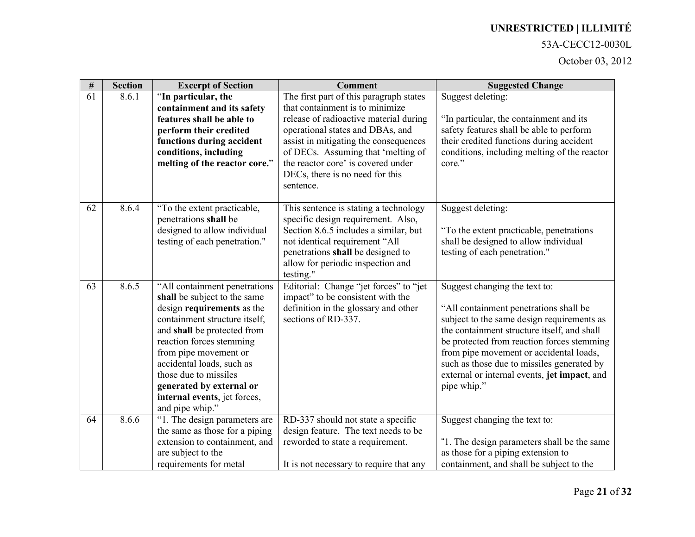### 53A-CECC12-0030L

| $\#$ | <b>Section</b> | <b>Excerpt of Section</b>                                                                                                                                                                                                                                                                                                                             | <b>Comment</b>                                                                                                                                                                                                                                                                                                                | <b>Suggested Change</b>                                                                                                                                                                                                                                                                                                                                                    |
|------|----------------|-------------------------------------------------------------------------------------------------------------------------------------------------------------------------------------------------------------------------------------------------------------------------------------------------------------------------------------------------------|-------------------------------------------------------------------------------------------------------------------------------------------------------------------------------------------------------------------------------------------------------------------------------------------------------------------------------|----------------------------------------------------------------------------------------------------------------------------------------------------------------------------------------------------------------------------------------------------------------------------------------------------------------------------------------------------------------------------|
| 61   | 8.6.1          | "In particular, the<br>containment and its safety<br>features shall be able to<br>perform their credited<br>functions during accident<br>conditions, including<br>melting of the reactor core."                                                                                                                                                       | The first part of this paragraph states<br>that containment is to minimize<br>release of radioactive material during<br>operational states and DBAs, and<br>assist in mitigating the consequences<br>of DECs. Assuming that 'melting of<br>the reactor core' is covered under<br>DECs, there is no need for this<br>sentence. | Suggest deleting:<br>"In particular, the containment and its<br>safety features shall be able to perform<br>their credited functions during accident<br>conditions, including melting of the reactor<br>core."                                                                                                                                                             |
| 62   | 8.6.4          | "To the extent practicable,<br>penetrations shall be<br>designed to allow individual<br>testing of each penetration."                                                                                                                                                                                                                                 | This sentence is stating a technology<br>specific design requirement. Also,<br>Section 8.6.5 includes a similar, but<br>not identical requirement "All<br>penetrations shall be designed to<br>allow for periodic inspection and<br>testing."                                                                                 | Suggest deleting:<br>"To the extent practicable, penetrations<br>shall be designed to allow individual<br>testing of each penetration."                                                                                                                                                                                                                                    |
| 63   | 8.6.5          | "All containment penetrations<br>shall be subject to the same<br>design requirements as the<br>containment structure itself,<br>and shall be protected from<br>reaction forces stemming<br>from pipe movement or<br>accidental loads, such as<br>those due to missiles<br>generated by external or<br>internal events, jet forces,<br>and pipe whip." | Editorial: Change "jet forces" to "jet<br>impact" to be consistent with the<br>definition in the glossary and other<br>sections of RD-337.                                                                                                                                                                                    | Suggest changing the text to:<br>"All containment penetrations shall be<br>subject to the same design requirements as<br>the containment structure itself, and shall<br>be protected from reaction forces stemming<br>from pipe movement or accidental loads,<br>such as those due to missiles generated by<br>external or internal events, jet impact, and<br>pipe whip." |
| 64   | 8.6.6          | "1. The design parameters are<br>the same as those for a piping<br>extension to containment, and<br>are subject to the<br>requirements for metal                                                                                                                                                                                                      | RD-337 should not state a specific<br>design feature. The text needs to be<br>reworded to state a requirement.<br>It is not necessary to require that any                                                                                                                                                                     | Suggest changing the text to:<br>"1. The design parameters shall be the same<br>as those for a piping extension to<br>containment, and shall be subject to the                                                                                                                                                                                                             |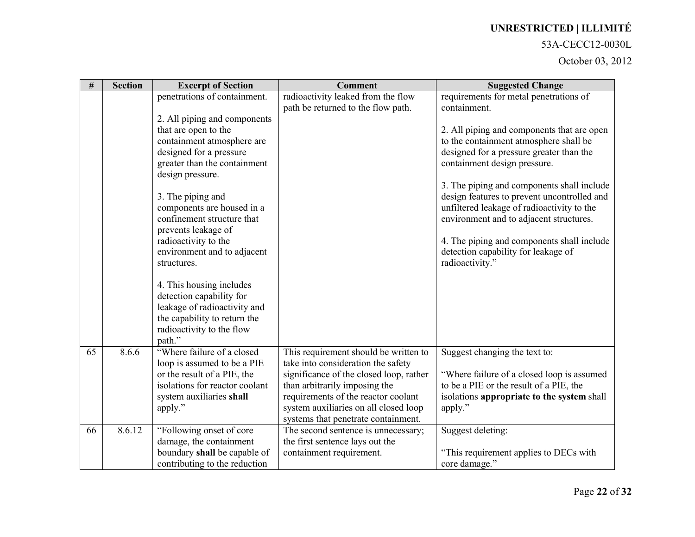#### 53A-CECC12-0030L

| $\#$ | <b>Section</b> | <b>Excerpt of Section</b>                                    | <b>Comment</b>                                                               | <b>Suggested Change</b>                               |
|------|----------------|--------------------------------------------------------------|------------------------------------------------------------------------------|-------------------------------------------------------|
|      |                | penetrations of containment.                                 | radioactivity leaked from the flow                                           | requirements for metal penetrations of                |
|      |                |                                                              | path be returned to the flow path.                                           | containment.                                          |
|      |                | 2. All piping and components<br>that are open to the         |                                                                              | 2. All piping and components that are open            |
|      |                | containment atmosphere are                                   |                                                                              | to the containment atmosphere shall be                |
|      |                | designed for a pressure                                      |                                                                              | designed for a pressure greater than the              |
|      |                | greater than the containment                                 |                                                                              | containment design pressure.                          |
|      |                | design pressure.                                             |                                                                              |                                                       |
|      |                |                                                              |                                                                              | 3. The piping and components shall include            |
|      |                | 3. The piping and                                            |                                                                              | design features to prevent uncontrolled and           |
|      |                | components are housed in a<br>confinement structure that     |                                                                              | unfiltered leakage of radioactivity to the            |
|      |                | prevents leakage of                                          |                                                                              | environment and to adjacent structures.               |
|      |                | radioactivity to the                                         |                                                                              | 4. The piping and components shall include            |
|      |                | environment and to adjacent                                  |                                                                              | detection capability for leakage of                   |
|      |                | structures.                                                  |                                                                              | radioactivity."                                       |
|      |                |                                                              |                                                                              |                                                       |
|      |                | 4. This housing includes                                     |                                                                              |                                                       |
|      |                | detection capability for                                     |                                                                              |                                                       |
|      |                | leakage of radioactivity and<br>the capability to return the |                                                                              |                                                       |
|      |                | radioactivity to the flow                                    |                                                                              |                                                       |
|      |                | path."                                                       |                                                                              |                                                       |
| 65   | 8.6.6          | "Where failure of a closed                                   | This requirement should be written to                                        | Suggest changing the text to:                         |
|      |                | loop is assumed to be a PIE                                  | take into consideration the safety                                           |                                                       |
|      |                | or the result of a PIE, the                                  | significance of the closed loop, rather                                      | "Where failure of a closed loop is assumed            |
|      |                | isolations for reactor coolant                               | than arbitrarily imposing the                                                | to be a PIE or the result of a PIE, the               |
|      |                | system auxiliaries shall<br>apply."                          | requirements of the reactor coolant<br>system auxiliaries on all closed loop | isolations appropriate to the system shall<br>apply." |
|      |                |                                                              | systems that penetrate containment.                                          |                                                       |
| 66   | 8.6.12         | "Following onset of core"                                    | The second sentence is unnecessary;                                          | Suggest deleting:                                     |
|      |                | damage, the containment                                      | the first sentence lays out the                                              |                                                       |
|      |                | boundary shall be capable of                                 | containment requirement.                                                     | "This requirement applies to DECs with                |
|      |                | contributing to the reduction                                |                                                                              | core damage."                                         |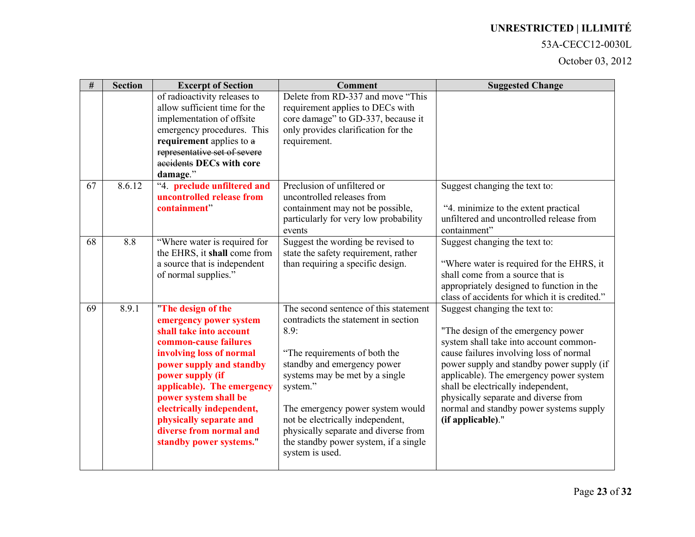#### 53A-CECC12-0030L

| $\#$ | <b>Section</b> | <b>Excerpt of Section</b>                                                                                                                                                                                                                                                                                                                         | <b>Comment</b>                                                                                                                                                                                                                                                                                                                                                                  | <b>Suggested Change</b>                                                                                                                                                                                                                                                                                                                                                                        |
|------|----------------|---------------------------------------------------------------------------------------------------------------------------------------------------------------------------------------------------------------------------------------------------------------------------------------------------------------------------------------------------|---------------------------------------------------------------------------------------------------------------------------------------------------------------------------------------------------------------------------------------------------------------------------------------------------------------------------------------------------------------------------------|------------------------------------------------------------------------------------------------------------------------------------------------------------------------------------------------------------------------------------------------------------------------------------------------------------------------------------------------------------------------------------------------|
|      |                | of radioactivity releases to<br>allow sufficient time for the<br>implementation of offsite<br>emergency procedures. This<br>requirement applies to a<br>representative set of severe<br>accidents DECs with core<br>damage."                                                                                                                      | Delete from RD-337 and move "This<br>requirement applies to DECs with<br>core damage" to GD-337, because it<br>only provides clarification for the<br>requirement.                                                                                                                                                                                                              |                                                                                                                                                                                                                                                                                                                                                                                                |
| 67   | 8.6.12         | "4. preclude unfiltered and<br>uncontrolled release from<br>containment"                                                                                                                                                                                                                                                                          | Preclusion of unfiltered or<br>uncontrolled releases from<br>containment may not be possible,<br>particularly for very low probability<br>events                                                                                                                                                                                                                                | Suggest changing the text to:<br>"4. minimize to the extent practical<br>unfiltered and uncontrolled release from<br>containment"                                                                                                                                                                                                                                                              |
| 68   | 8.8            | "Where water is required for<br>the EHRS, it shall come from<br>a source that is independent<br>of normal supplies."                                                                                                                                                                                                                              | Suggest the wording be revised to<br>state the safety requirement, rather<br>than requiring a specific design.                                                                                                                                                                                                                                                                  | Suggest changing the text to:<br>"Where water is required for the EHRS, it<br>shall come from a source that is<br>appropriately designed to function in the<br>class of accidents for which it is credited."                                                                                                                                                                                   |
| 69   | 8.9.1          | "The design of the<br>emergency power system<br>shall take into account<br>common-cause failures<br>involving loss of normal<br>power supply and standby<br>power supply (if<br>applicable). The emergency<br>power system shall be<br>electrically independent,<br>physically separate and<br>diverse from normal and<br>standby power systems." | The second sentence of this statement<br>contradicts the statement in section<br>8.9:<br>"The requirements of both the<br>standby and emergency power<br>systems may be met by a single<br>system."<br>The emergency power system would<br>not be electrically independent,<br>physically separate and diverse from<br>the standby power system, if a single<br>system is used. | Suggest changing the text to:<br>"The design of the emergency power<br>system shall take into account common-<br>cause failures involving loss of normal<br>power supply and standby power supply (if<br>applicable). The emergency power system<br>shall be electrically independent,<br>physically separate and diverse from<br>normal and standby power systems supply<br>(if applicable)." |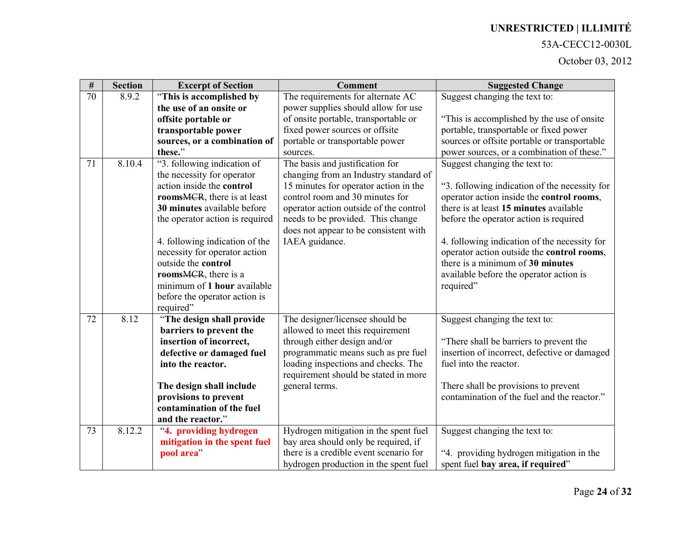#### 53A-CECC12-0030L

| $\#$ | <b>Section</b> | <b>Excerpt of Section</b>                              | <b>Comment</b>                                                                | <b>Suggested Change</b>                                                             |
|------|----------------|--------------------------------------------------------|-------------------------------------------------------------------------------|-------------------------------------------------------------------------------------|
| 70   | 8.9.2          | "This is accomplished by                               | The requirements for alternate AC                                             | Suggest changing the text to:                                                       |
|      |                | the use of an onsite or                                | power supplies should allow for use                                           |                                                                                     |
|      |                | offsite portable or                                    | of onsite portable, transportable or                                          | "This is accomplished by the use of onsite"                                         |
|      |                | transportable power                                    | fixed power sources or offsite                                                | portable, transportable or fixed power                                              |
|      |                | sources, or a combination of                           | portable or transportable power                                               | sources or offsite portable or transportable                                        |
|      |                | these."                                                | sources.                                                                      | power sources, or a combination of these."                                          |
| 71   | 8.10.4         | "3. following indication of                            | The basis and justification for                                               | Suggest changing the text to:                                                       |
|      |                | the necessity for operator                             | changing from an Industry standard of                                         |                                                                                     |
|      |                | action inside the control                              | 15 minutes for operator action in the                                         | "3. following indication of the necessity for                                       |
|      |                | rooms <del>MCR</del> , there is at least               | control room and 30 minutes for                                               | operator action inside the control rooms,                                           |
|      |                | 30 minutes available before                            | operator action outside of the control                                        | there is at least 15 minutes available                                              |
|      |                | the operator action is required                        | needs to be provided. This change                                             | before the operator action is required                                              |
|      |                |                                                        | does not appear to be consistent with                                         |                                                                                     |
|      |                | 4. following indication of the                         | IAEA guidance.                                                                | 4. following indication of the necessity for                                        |
|      |                | necessity for operator action                          |                                                                               | operator action outside the control rooms,                                          |
|      |                | outside the control                                    |                                                                               | there is a minimum of 30 minutes                                                    |
|      |                | rooms <del>MCR</del> , there is a                      |                                                                               | available before the operator action is                                             |
|      |                | minimum of 1 hour available                            |                                                                               | required"                                                                           |
|      |                | before the operator action is                          |                                                                               |                                                                                     |
|      |                | required"                                              |                                                                               |                                                                                     |
| 72   | 8.12           | "The design shall provide                              | The designer/licensee should be                                               | Suggest changing the text to:                                                       |
|      |                | barriers to prevent the                                | allowed to meet this requirement                                              |                                                                                     |
|      |                | insertion of incorrect,                                | through either design and/or                                                  | "There shall be barriers to prevent the                                             |
|      |                | defective or damaged fuel                              | programmatic means such as pre fuel                                           | insertion of incorrect, defective or damaged                                        |
|      |                | into the reactor.                                      | loading inspections and checks. The                                           | fuel into the reactor.                                                              |
|      |                |                                                        | requirement should be stated in more                                          |                                                                                     |
|      |                | The design shall include                               | general terms.                                                                | There shall be provisions to prevent<br>contamination of the fuel and the reactor." |
|      |                | provisions to prevent<br>contamination of the fuel     |                                                                               |                                                                                     |
|      |                | and the reactor."                                      |                                                                               |                                                                                     |
| 73   | 8.12.2         |                                                        |                                                                               |                                                                                     |
|      |                | "4. providing hydrogen<br>mitigation in the spent fuel | Hydrogen mitigation in the spent fuel<br>bay area should only be required, if | Suggest changing the text to:                                                       |
|      |                | pool area <sup>7</sup>                                 | there is a credible event scenario for                                        | "4. providing hydrogen mitigation in the                                            |
|      |                |                                                        |                                                                               |                                                                                     |
|      |                |                                                        | hydrogen production in the spent fuel                                         | spent fuel bay area, if required"                                                   |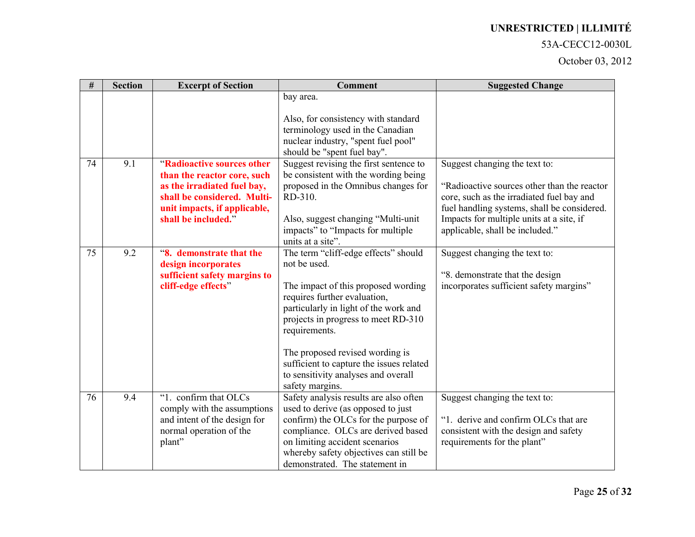#### 53A-CECC12-0030L

| $\#$ | <b>Section</b> | <b>Excerpt of Section</b>                                                                                                                                                      | <b>Comment</b>                                                                                                                                                                                                                                                                                                                                                        | <b>Suggested Change</b>                                                                                                                                                                                                                                  |
|------|----------------|--------------------------------------------------------------------------------------------------------------------------------------------------------------------------------|-----------------------------------------------------------------------------------------------------------------------------------------------------------------------------------------------------------------------------------------------------------------------------------------------------------------------------------------------------------------------|----------------------------------------------------------------------------------------------------------------------------------------------------------------------------------------------------------------------------------------------------------|
|      |                |                                                                                                                                                                                | bay area.<br>Also, for consistency with standard<br>terminology used in the Canadian<br>nuclear industry, "spent fuel pool"<br>should be "spent fuel bay".                                                                                                                                                                                                            |                                                                                                                                                                                                                                                          |
| 74   | 9.1            | "Radioactive sources other<br>than the reactor core, such<br>as the irradiated fuel bay,<br>shall be considered. Multi-<br>unit impacts, if applicable,<br>shall be included." | Suggest revising the first sentence to<br>be consistent with the wording being<br>proposed in the Omnibus changes for<br>RD-310.<br>Also, suggest changing "Multi-unit<br>impacts" to "Impacts for multiple<br>units at a site".                                                                                                                                      | Suggest changing the text to:<br>"Radioactive sources other than the reactor"<br>core, such as the irradiated fuel bay and<br>fuel handling systems, shall be considered.<br>Impacts for multiple units at a site, if<br>applicable, shall be included." |
| 75   | 9.2            | "8. demonstrate that the<br>design incorporates<br>sufficient safety margins to<br>cliff-edge effects"                                                                         | The term "cliff-edge effects" should<br>not be used.<br>The impact of this proposed wording<br>requires further evaluation,<br>particularly in light of the work and<br>projects in progress to meet RD-310<br>requirements.<br>The proposed revised wording is<br>sufficient to capture the issues related<br>to sensitivity analyses and overall<br>safety margins. | Suggest changing the text to:<br>"8. demonstrate that the design<br>incorporates sufficient safety margins"                                                                                                                                              |
| 76   | 9.4            | "1. confirm that OLCs<br>comply with the assumptions<br>and intent of the design for<br>normal operation of the<br>plant"                                                      | Safety analysis results are also often<br>used to derive (as opposed to just<br>confirm) the OLCs for the purpose of<br>compliance. OLCs are derived based<br>on limiting accident scenarios<br>whereby safety objectives can still be<br>demonstrated. The statement in                                                                                              | Suggest changing the text to:<br>"1. derive and confirm OLCs that are<br>consistent with the design and safety<br>requirements for the plant"                                                                                                            |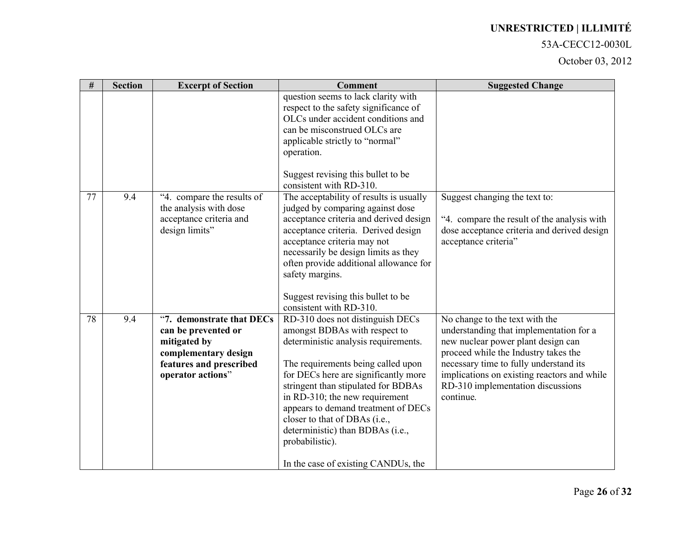#### 53A-CECC12-0030L

| $\#$ | <b>Section</b> | <b>Excerpt of Section</b>                         | <b>Comment</b>                                                                                                     | <b>Suggested Change</b>                                                       |
|------|----------------|---------------------------------------------------|--------------------------------------------------------------------------------------------------------------------|-------------------------------------------------------------------------------|
|      |                |                                                   | question seems to lack clarity with<br>respect to the safety significance of<br>OLCs under accident conditions and |                                                                               |
|      |                |                                                   | can be misconstrued OLCs are                                                                                       |                                                                               |
|      |                |                                                   | applicable strictly to "normal"<br>operation.                                                                      |                                                                               |
|      |                |                                                   |                                                                                                                    |                                                                               |
|      |                |                                                   | Suggest revising this bullet to be<br>consistent with RD-310.                                                      |                                                                               |
| 77   | 9.4            | "4. compare the results of                        | The acceptability of results is usually                                                                            | Suggest changing the text to:                                                 |
|      |                | the analysis with dose<br>acceptance criteria and | judged by comparing against dose<br>acceptance criteria and derived design                                         | "4. compare the result of the analysis with                                   |
|      |                | design limits"                                    | acceptance criteria. Derived design                                                                                | dose acceptance criteria and derived design                                   |
|      |                |                                                   | acceptance criteria may not<br>necessarily be design limits as they                                                | acceptance criteria"                                                          |
|      |                |                                                   | often provide additional allowance for                                                                             |                                                                               |
|      |                |                                                   | safety margins.                                                                                                    |                                                                               |
|      |                |                                                   | Suggest revising this bullet to be                                                                                 |                                                                               |
|      |                |                                                   | consistent with RD-310.                                                                                            |                                                                               |
| 78   | 9.4            | "7. demonstrate that DECs                         | RD-310 does not distinguish DECs                                                                                   | No change to the text with the                                                |
|      |                | can be prevented or<br>mitigated by               | amongst BDBAs with respect to<br>deterministic analysis requirements.                                              | understanding that implementation for a<br>new nuclear power plant design can |
|      |                | complementary design                              |                                                                                                                    | proceed while the Industry takes the                                          |
|      |                | features and prescribed                           | The requirements being called upon                                                                                 | necessary time to fully understand its                                        |
|      |                | operator actions"                                 | for DECs here are significantly more                                                                               | implications on existing reactors and while                                   |
|      |                |                                                   | stringent than stipulated for BDBAs<br>in RD-310; the new requirement                                              | RD-310 implementation discussions<br>continue.                                |
|      |                |                                                   | appears to demand treatment of DECs                                                                                |                                                                               |
|      |                |                                                   | closer to that of DBAs (i.e.,                                                                                      |                                                                               |
|      |                |                                                   | deterministic) than BDBAs (i.e.,                                                                                   |                                                                               |
|      |                |                                                   | probabilistic).                                                                                                    |                                                                               |
|      |                |                                                   | In the case of existing CANDUs, the                                                                                |                                                                               |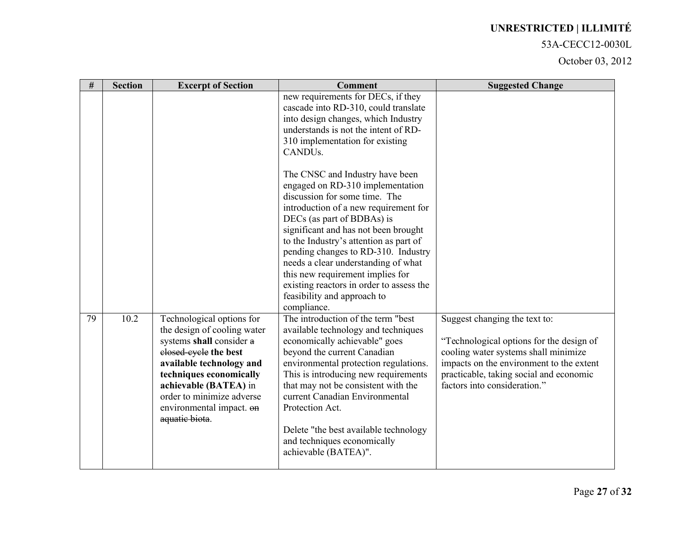#### 53A-CECC12-0030L

| $\#$ | <b>Section</b> | <b>Excerpt of Section</b>                                                                                                                                                                                                                                                | <b>Comment</b>                                                                                                                                                                                                                                                                                                                                                                                                                                                            | <b>Suggested Change</b>                                                                                                                                                                                                                  |
|------|----------------|--------------------------------------------------------------------------------------------------------------------------------------------------------------------------------------------------------------------------------------------------------------------------|---------------------------------------------------------------------------------------------------------------------------------------------------------------------------------------------------------------------------------------------------------------------------------------------------------------------------------------------------------------------------------------------------------------------------------------------------------------------------|------------------------------------------------------------------------------------------------------------------------------------------------------------------------------------------------------------------------------------------|
|      |                |                                                                                                                                                                                                                                                                          | new requirements for DECs, if they<br>cascade into RD-310, could translate<br>into design changes, which Industry<br>understands is not the intent of RD-<br>310 implementation for existing<br>CANDU <sub>s</sub> .                                                                                                                                                                                                                                                      |                                                                                                                                                                                                                                          |
|      |                |                                                                                                                                                                                                                                                                          | The CNSC and Industry have been<br>engaged on RD-310 implementation<br>discussion for some time. The<br>introduction of a new requirement for<br>DECs (as part of BDBAs) is<br>significant and has not been brought<br>to the Industry's attention as part of<br>pending changes to RD-310. Industry<br>needs a clear understanding of what<br>this new requirement implies for<br>existing reactors in order to assess the<br>feasibility and approach to<br>compliance. |                                                                                                                                                                                                                                          |
| 79   | 10.2           | Technological options for<br>the design of cooling water<br>systems shall consider a<br>elosed-eyele the best<br>available technology and<br>techniques economically<br>achievable (BATEA) in<br>order to minimize adverse<br>environmental impact. on<br>aquatic biota. | The introduction of the term "best"<br>available technology and techniques<br>economically achievable" goes<br>beyond the current Canadian<br>environmental protection regulations.<br>This is introducing new requirements<br>that may not be consistent with the<br>current Canadian Environmental<br>Protection Act.<br>Delete "the best available technology<br>and techniques economically<br>achievable (BATEA)".                                                   | Suggest changing the text to:<br>"Technological options for the design of<br>cooling water systems shall minimize<br>impacts on the environment to the extent<br>practicable, taking social and economic<br>factors into consideration." |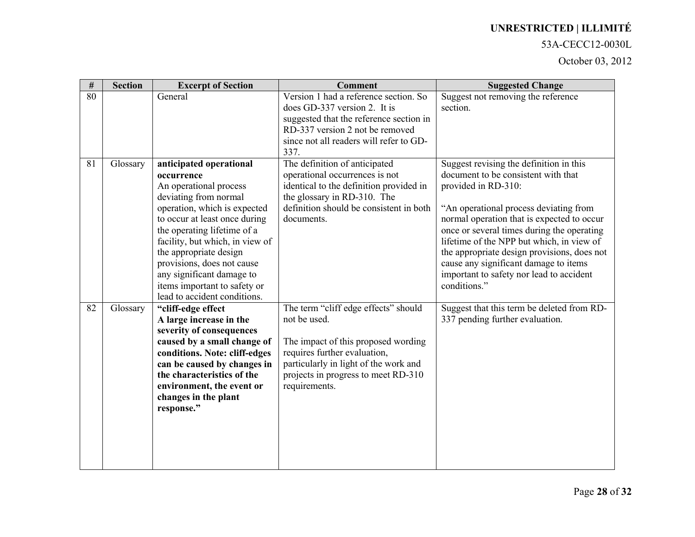#### 53A-CECC12-0030L

| $\#$ | <b>Section</b> | <b>Excerpt of Section</b>                                                                                                                                                                                                                                                                                                                                                        | <b>Comment</b>                                                                                                                                                                                                               | <b>Suggested Change</b>                                                                                                                                                                                                                                                                                                                                                                                                                      |
|------|----------------|----------------------------------------------------------------------------------------------------------------------------------------------------------------------------------------------------------------------------------------------------------------------------------------------------------------------------------------------------------------------------------|------------------------------------------------------------------------------------------------------------------------------------------------------------------------------------------------------------------------------|----------------------------------------------------------------------------------------------------------------------------------------------------------------------------------------------------------------------------------------------------------------------------------------------------------------------------------------------------------------------------------------------------------------------------------------------|
| 80   |                | General                                                                                                                                                                                                                                                                                                                                                                          | Version 1 had a reference section. So<br>does GD-337 version 2. It is<br>suggested that the reference section in<br>RD-337 version 2 not be removed<br>since not all readers will refer to GD-<br>337.                       | Suggest not removing the reference<br>section.                                                                                                                                                                                                                                                                                                                                                                                               |
| 81   | Glossary       | anticipated operational<br>occurrence<br>An operational process<br>deviating from normal<br>operation, which is expected<br>to occur at least once during<br>the operating lifetime of a<br>facility, but which, in view of<br>the appropriate design<br>provisions, does not cause<br>any significant damage to<br>items important to safety or<br>lead to accident conditions. | The definition of anticipated<br>operational occurrences is not<br>identical to the definition provided in<br>the glossary in RD-310. The<br>definition should be consistent in both<br>documents.                           | Suggest revising the definition in this<br>document to be consistent with that<br>provided in RD-310:<br>"An operational process deviating from<br>normal operation that is expected to occur<br>once or several times during the operating<br>lifetime of the NPP but which, in view of<br>the appropriate design provisions, does not<br>cause any significant damage to items<br>important to safety nor lead to accident<br>conditions." |
| 82   | Glossary       | "cliff-edge effect<br>A large increase in the<br>severity of consequences<br>caused by a small change of<br>conditions. Note: cliff-edges<br>can be caused by changes in<br>the characteristics of the<br>environment, the event or<br>changes in the plant<br>response."                                                                                                        | The term "cliff edge effects" should<br>not be used.<br>The impact of this proposed wording<br>requires further evaluation,<br>particularly in light of the work and<br>projects in progress to meet RD-310<br>requirements. | Suggest that this term be deleted from RD-<br>337 pending further evaluation.                                                                                                                                                                                                                                                                                                                                                                |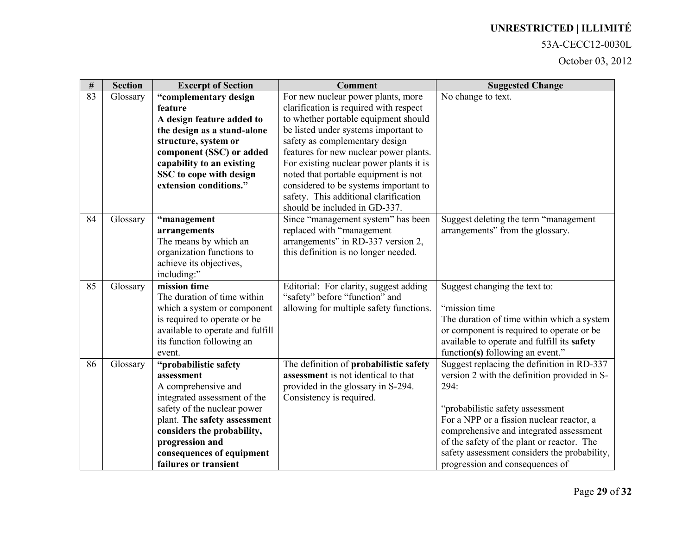### 53A-CECC12-0030L

| $\#$ | <b>Section</b> | <b>Excerpt of Section</b>        | <b>Comment</b>                          | <b>Suggested Change</b>                      |
|------|----------------|----------------------------------|-----------------------------------------|----------------------------------------------|
| 83   | Glossary       | "complementary design            | For new nuclear power plants, more      | No change to text.                           |
|      |                | feature                          | clarification is required with respect  |                                              |
|      |                | A design feature added to        | to whether portable equipment should    |                                              |
|      |                | the design as a stand-alone      | be listed under systems important to    |                                              |
|      |                | structure, system or             | safety as complementary design          |                                              |
|      |                | component (SSC) or added         | features for new nuclear power plants.  |                                              |
|      |                | capability to an existing        | For existing nuclear power plants it is |                                              |
|      |                | SSC to cope with design          | noted that portable equipment is not    |                                              |
|      |                | extension conditions."           | considered to be systems important to   |                                              |
|      |                |                                  | safety. This additional clarification   |                                              |
|      |                |                                  | should be included in GD-337.           |                                              |
| 84   | Glossary       | "management                      | Since "management system" has been      | Suggest deleting the term "management"       |
|      |                | arrangements                     | replaced with "management               | arrangements" from the glossary.             |
|      |                | The means by which an            | arrangements" in RD-337 version 2,      |                                              |
|      |                | organization functions to        | this definition is no longer needed.    |                                              |
|      |                | achieve its objectives,          |                                         |                                              |
| 85   | Glossary       | including:"<br>mission time      | Editorial: For clarity, suggest adding  | Suggest changing the text to:                |
|      |                | The duration of time within      | "safety" before "function" and          |                                              |
|      |                | which a system or component      | allowing for multiple safety functions. | "mission time"                               |
|      |                | is required to operate or be     |                                         | The duration of time within which a system   |
|      |                | available to operate and fulfill |                                         | or component is required to operate or be    |
|      |                | its function following an        |                                         | available to operate and fulfill its safety  |
|      |                | event.                           |                                         | function(s) following an event."             |
| 86   | Glossary       | "probabilistic safety            | The definition of probabilistic safety  | Suggest replacing the definition in RD-337   |
|      |                | assessment                       | assessment is not identical to that     | version 2 with the definition provided in S- |
|      |                | A comprehensive and              | provided in the glossary in S-294.      | 294:                                         |
|      |                | integrated assessment of the     | Consistency is required.                |                                              |
|      |                | safety of the nuclear power      |                                         | "probabilistic safety assessment             |
|      |                | plant. The safety assessment     |                                         | For a NPP or a fission nuclear reactor, a    |
|      |                | considers the probability,       |                                         | comprehensive and integrated assessment      |
|      |                | progression and                  |                                         | of the safety of the plant or reactor. The   |
|      |                | consequences of equipment        |                                         | safety assessment considers the probability, |
|      |                | failures or transient            |                                         | progression and consequences of              |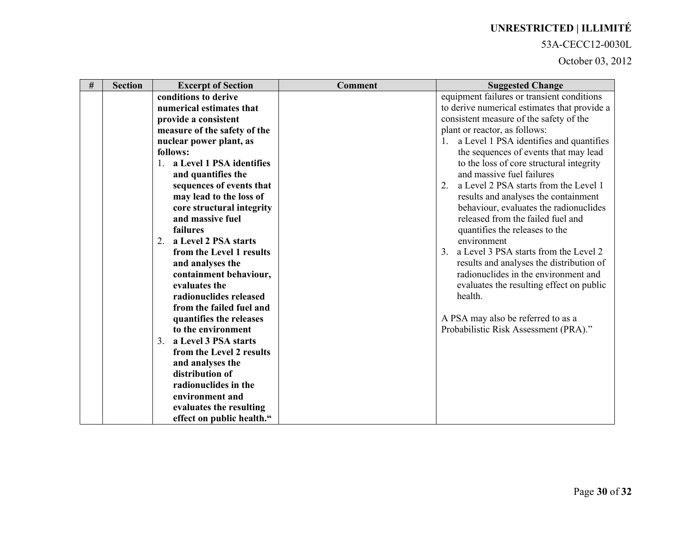### 53A-CECC12-0030L

| conditions to derive<br>equipment failures or transient conditions<br>numerical estimates that<br>consistent measure of the safety of the<br>provide a consistent<br>plant or reactor, as follows:<br>measure of the safety of the<br>1. a Level 1 PSA identifies and quantifies<br>nuclear power plant, as<br>the sequences of events that may lead<br>follows:<br>a Level 1 PSA identifies<br>to the loss of core structural integrity<br>and massive fuel failures<br>and quantifies the<br>2.<br>a Level 2 PSA starts from the Level 1<br>sequences of events that<br>may lead to the loss of<br>results and analyses the containment<br>behaviour, evaluates the radionuclides<br>core structural integrity | <b>Section</b><br><b>Excerpt of Section</b> | <b>Comment</b> | <b>Suggested Change</b>                      |
|------------------------------------------------------------------------------------------------------------------------------------------------------------------------------------------------------------------------------------------------------------------------------------------------------------------------------------------------------------------------------------------------------------------------------------------------------------------------------------------------------------------------------------------------------------------------------------------------------------------------------------------------------------------------------------------------------------------|---------------------------------------------|----------------|----------------------------------------------|
|                                                                                                                                                                                                                                                                                                                                                                                                                                                                                                                                                                                                                                                                                                                  |                                             |                |                                              |
|                                                                                                                                                                                                                                                                                                                                                                                                                                                                                                                                                                                                                                                                                                                  |                                             |                | to derive numerical estimates that provide a |
|                                                                                                                                                                                                                                                                                                                                                                                                                                                                                                                                                                                                                                                                                                                  |                                             |                |                                              |
|                                                                                                                                                                                                                                                                                                                                                                                                                                                                                                                                                                                                                                                                                                                  |                                             |                |                                              |
|                                                                                                                                                                                                                                                                                                                                                                                                                                                                                                                                                                                                                                                                                                                  |                                             |                |                                              |
|                                                                                                                                                                                                                                                                                                                                                                                                                                                                                                                                                                                                                                                                                                                  |                                             |                |                                              |
|                                                                                                                                                                                                                                                                                                                                                                                                                                                                                                                                                                                                                                                                                                                  |                                             |                |                                              |
|                                                                                                                                                                                                                                                                                                                                                                                                                                                                                                                                                                                                                                                                                                                  |                                             |                |                                              |
|                                                                                                                                                                                                                                                                                                                                                                                                                                                                                                                                                                                                                                                                                                                  |                                             |                |                                              |
|                                                                                                                                                                                                                                                                                                                                                                                                                                                                                                                                                                                                                                                                                                                  |                                             |                |                                              |
|                                                                                                                                                                                                                                                                                                                                                                                                                                                                                                                                                                                                                                                                                                                  |                                             |                |                                              |
| released from the failed fuel and<br>and massive fuel                                                                                                                                                                                                                                                                                                                                                                                                                                                                                                                                                                                                                                                            |                                             |                |                                              |
| failures<br>quantifies the releases to the                                                                                                                                                                                                                                                                                                                                                                                                                                                                                                                                                                                                                                                                       |                                             |                |                                              |
| environment<br>a Level 2 PSA starts<br>2.                                                                                                                                                                                                                                                                                                                                                                                                                                                                                                                                                                                                                                                                        |                                             |                |                                              |
| from the Level 1 results                                                                                                                                                                                                                                                                                                                                                                                                                                                                                                                                                                                                                                                                                         |                                             |                | a Level 3 PSA starts from the Level 2        |
| and analyses the                                                                                                                                                                                                                                                                                                                                                                                                                                                                                                                                                                                                                                                                                                 |                                             |                | results and analyses the distribution of     |
| radionuclides in the environment and<br>containment behaviour,                                                                                                                                                                                                                                                                                                                                                                                                                                                                                                                                                                                                                                                   |                                             |                |                                              |
| evaluates the                                                                                                                                                                                                                                                                                                                                                                                                                                                                                                                                                                                                                                                                                                    |                                             |                | evaluates the resulting effect on public     |
| radionuclides released<br>health.                                                                                                                                                                                                                                                                                                                                                                                                                                                                                                                                                                                                                                                                                |                                             |                |                                              |
| from the failed fuel and                                                                                                                                                                                                                                                                                                                                                                                                                                                                                                                                                                                                                                                                                         |                                             |                |                                              |
| A PSA may also be referred to as a<br>quantifies the releases                                                                                                                                                                                                                                                                                                                                                                                                                                                                                                                                                                                                                                                    |                                             |                |                                              |
| to the environment<br>Probabilistic Risk Assessment (PRA)."                                                                                                                                                                                                                                                                                                                                                                                                                                                                                                                                                                                                                                                      |                                             |                |                                              |
| 3. a Level 3 PSA starts                                                                                                                                                                                                                                                                                                                                                                                                                                                                                                                                                                                                                                                                                          |                                             |                |                                              |
| from the Level 2 results                                                                                                                                                                                                                                                                                                                                                                                                                                                                                                                                                                                                                                                                                         |                                             |                |                                              |
| and analyses the<br>distribution of                                                                                                                                                                                                                                                                                                                                                                                                                                                                                                                                                                                                                                                                              |                                             |                |                                              |
| radionuclides in the                                                                                                                                                                                                                                                                                                                                                                                                                                                                                                                                                                                                                                                                                             |                                             |                |                                              |
| environment and                                                                                                                                                                                                                                                                                                                                                                                                                                                                                                                                                                                                                                                                                                  |                                             |                |                                              |
|                                                                                                                                                                                                                                                                                                                                                                                                                                                                                                                                                                                                                                                                                                                  |                                             |                |                                              |
| evaluates the resulting<br>effect on public health."                                                                                                                                                                                                                                                                                                                                                                                                                                                                                                                                                                                                                                                             |                                             |                |                                              |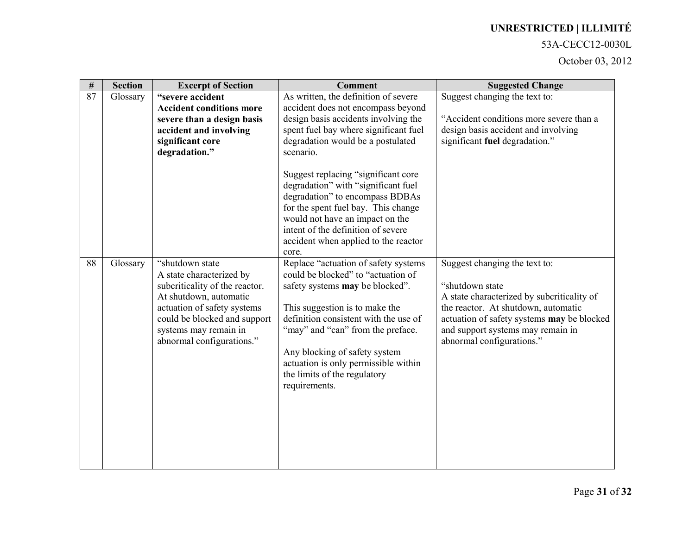#### 53A-CECC12-0030L

| $\#$ | <b>Section</b> | <b>Excerpt of Section</b>                                                                                                                                                                                                     | <b>Comment</b>                                                                                                                                                                                                                                                                                                                                                                                                                                                                    | <b>Suggested Change</b>                                                                                                                                                                                                                               |
|------|----------------|-------------------------------------------------------------------------------------------------------------------------------------------------------------------------------------------------------------------------------|-----------------------------------------------------------------------------------------------------------------------------------------------------------------------------------------------------------------------------------------------------------------------------------------------------------------------------------------------------------------------------------------------------------------------------------------------------------------------------------|-------------------------------------------------------------------------------------------------------------------------------------------------------------------------------------------------------------------------------------------------------|
| 87   | Glossary       | "severe accident<br><b>Accident conditions more</b><br>severe than a design basis<br>accident and involving<br>significant core<br>degradation."                                                                              | As written, the definition of severe<br>accident does not encompass beyond<br>design basis accidents involving the<br>spent fuel bay where significant fuel<br>degradation would be a postulated<br>scenario.<br>Suggest replacing "significant core<br>degradation" with "significant fuel<br>degradation" to encompass BDBAs<br>for the spent fuel bay. This change                                                                                                             | Suggest changing the text to:<br>"Accident conditions more severe than a<br>design basis accident and involving<br>significant fuel degradation."                                                                                                     |
| 88   | Glossary       | "shutdown state"<br>A state characterized by<br>subcriticality of the reactor.<br>At shutdown, automatic<br>actuation of safety systems<br>could be blocked and support<br>systems may remain in<br>abnormal configurations." | would not have an impact on the<br>intent of the definition of severe<br>accident when applied to the reactor<br>core.<br>Replace "actuation of safety systems<br>could be blocked" to "actuation of<br>safety systems may be blocked".<br>This suggestion is to make the<br>definition consistent with the use of<br>"may" and "can" from the preface.<br>Any blocking of safety system<br>actuation is only permissible within<br>the limits of the regulatory<br>requirements. | Suggest changing the text to:<br>"shutdown state<br>A state characterized by subcriticality of<br>the reactor. At shutdown, automatic<br>actuation of safety systems may be blocked<br>and support systems may remain in<br>abnormal configurations." |
|      |                |                                                                                                                                                                                                                               |                                                                                                                                                                                                                                                                                                                                                                                                                                                                                   |                                                                                                                                                                                                                                                       |